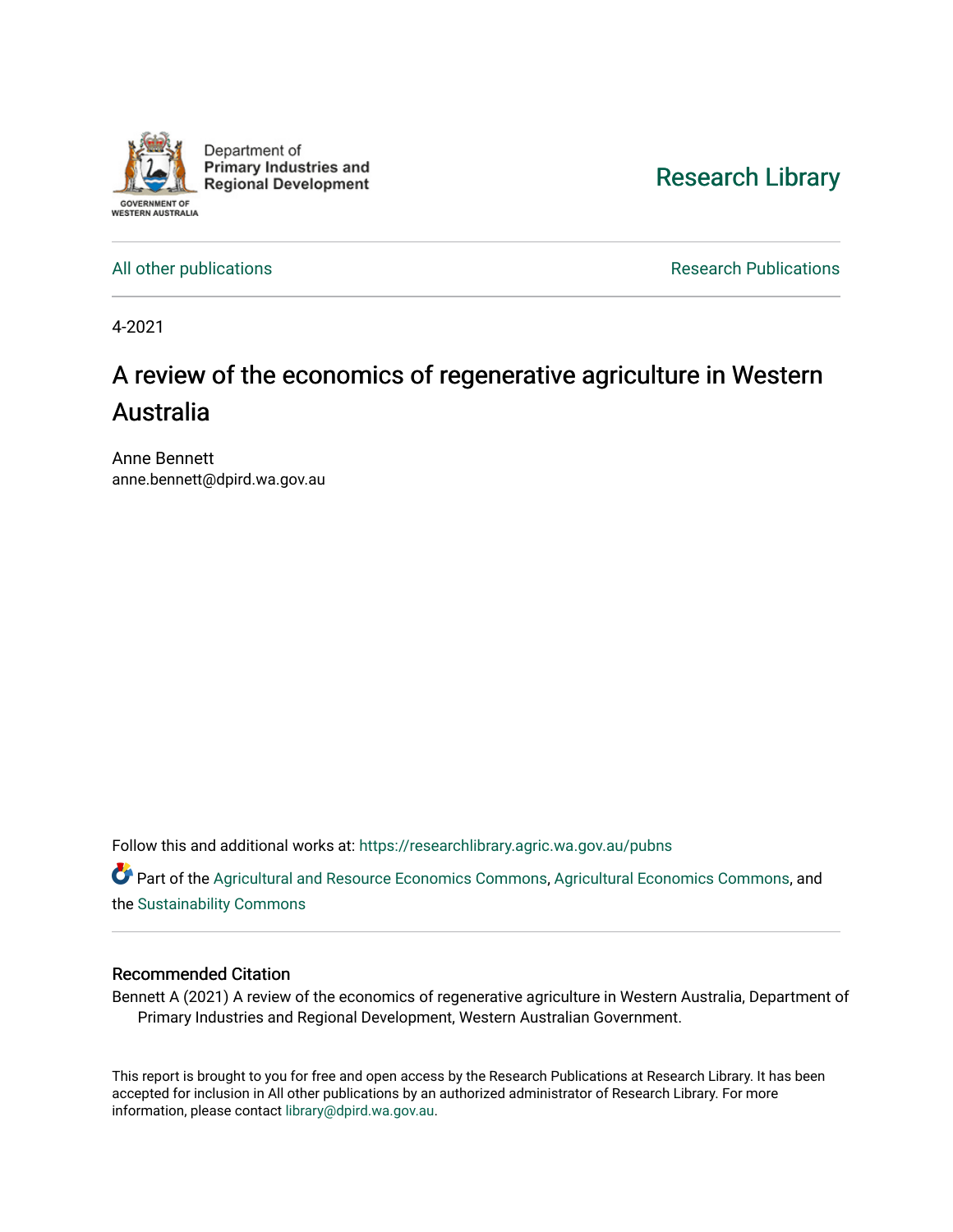

[Research Library](https://researchlibrary.agric.wa.gov.au/) 

[All other publications](https://researchlibrary.agric.wa.gov.au/pubns) **All other publications Research Publications** 

4-2021

# A review of the economics of regenerative agriculture in Western Australia

Anne Bennett anne.bennett@dpird.wa.gov.au

Follow this and additional works at: [https://researchlibrary.agric.wa.gov.au/pubns](https://researchlibrary.agric.wa.gov.au/pubns?utm_source=researchlibrary.agric.wa.gov.au%2Fpubns%2F153&utm_medium=PDF&utm_campaign=PDFCoverPages)

Part of the [Agricultural and Resource Economics Commons,](http://network.bepress.com/hgg/discipline/317?utm_source=researchlibrary.agric.wa.gov.au%2Fpubns%2F153&utm_medium=PDF&utm_campaign=PDFCoverPages) [Agricultural Economics Commons,](http://network.bepress.com/hgg/discipline/1225?utm_source=researchlibrary.agric.wa.gov.au%2Fpubns%2F153&utm_medium=PDF&utm_campaign=PDFCoverPages) and the [Sustainability Commons](http://network.bepress.com/hgg/discipline/1031?utm_source=researchlibrary.agric.wa.gov.au%2Fpubns%2F153&utm_medium=PDF&utm_campaign=PDFCoverPages) 

#### Recommended Citation

Bennett A (2021) A review of the economics of regenerative agriculture in Western Australia, Department of Primary Industries and Regional Development, Western Australian Government.

This report is brought to you for free and open access by the Research Publications at Research Library. It has been accepted for inclusion in All other publications by an authorized administrator of Research Library. For more information, please contact [library@dpird.wa.gov.au](mailto:library@dpird.wa.gov.au).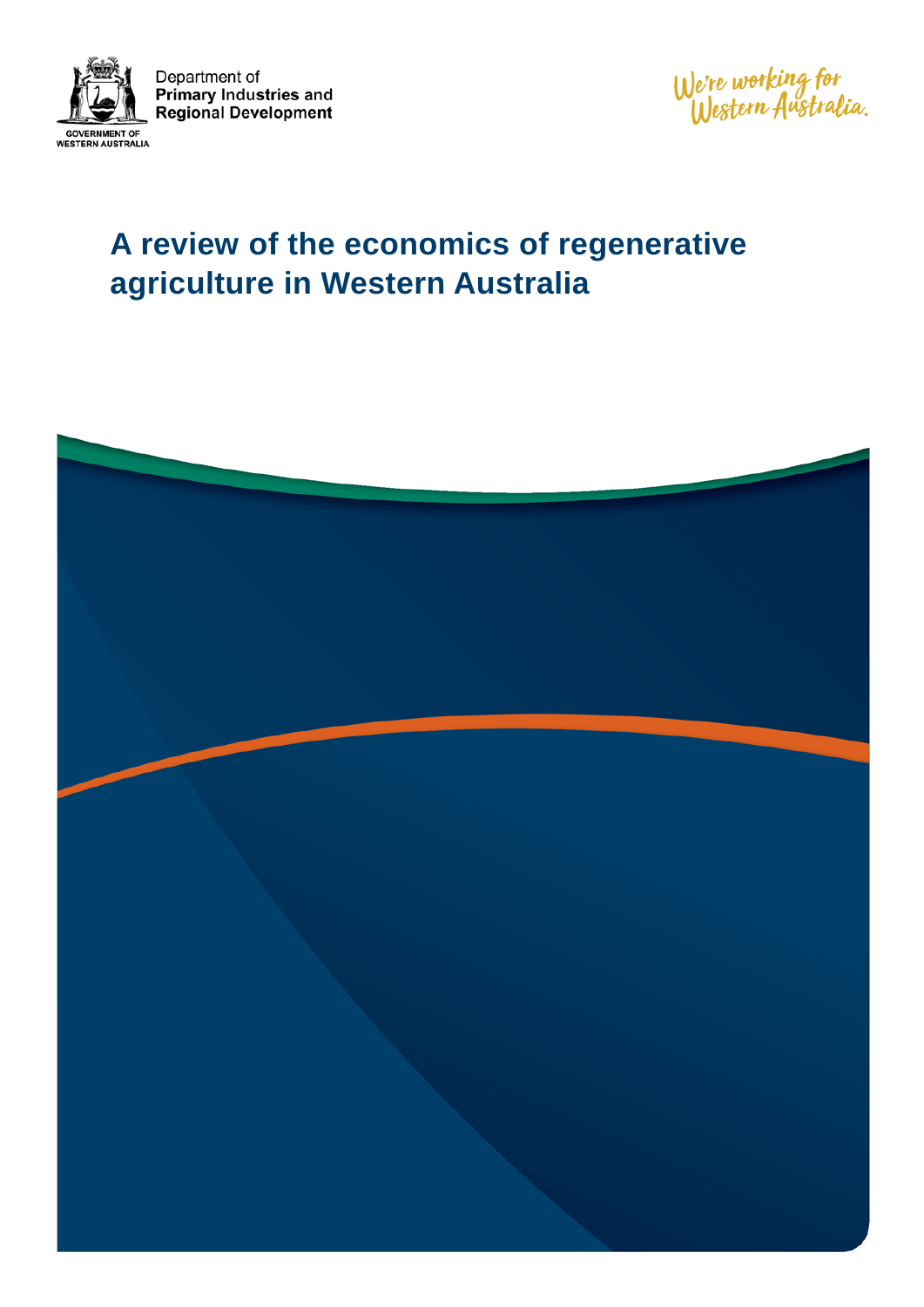

Department of **Primary Industries and Regional Development** 

We're working for<br>Western Australia.

# **A review of the economics of regenerative agriculture in Western Australia**

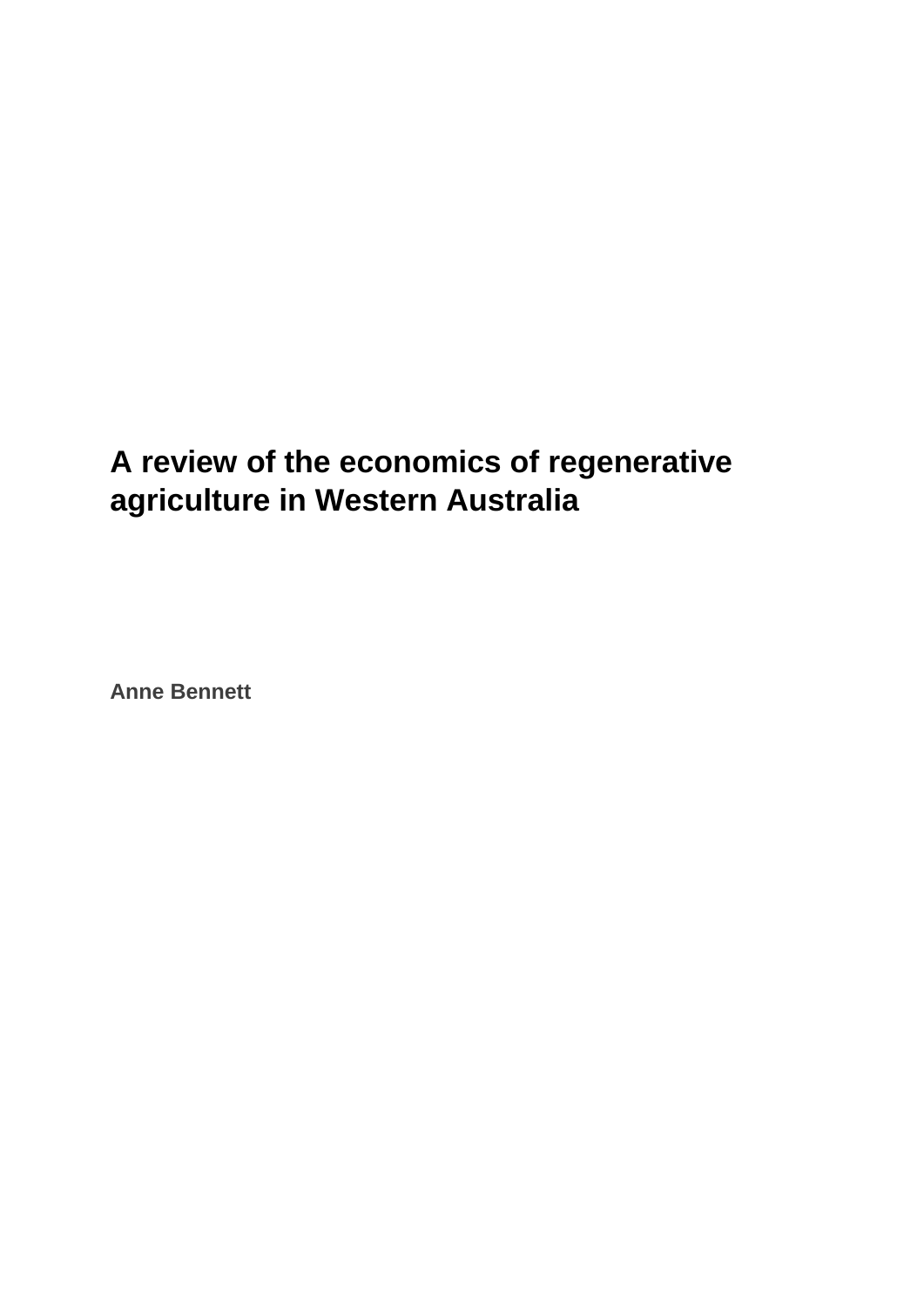# **A review of the economics of regenerative agriculture in Western Australia**

**Anne Bennett**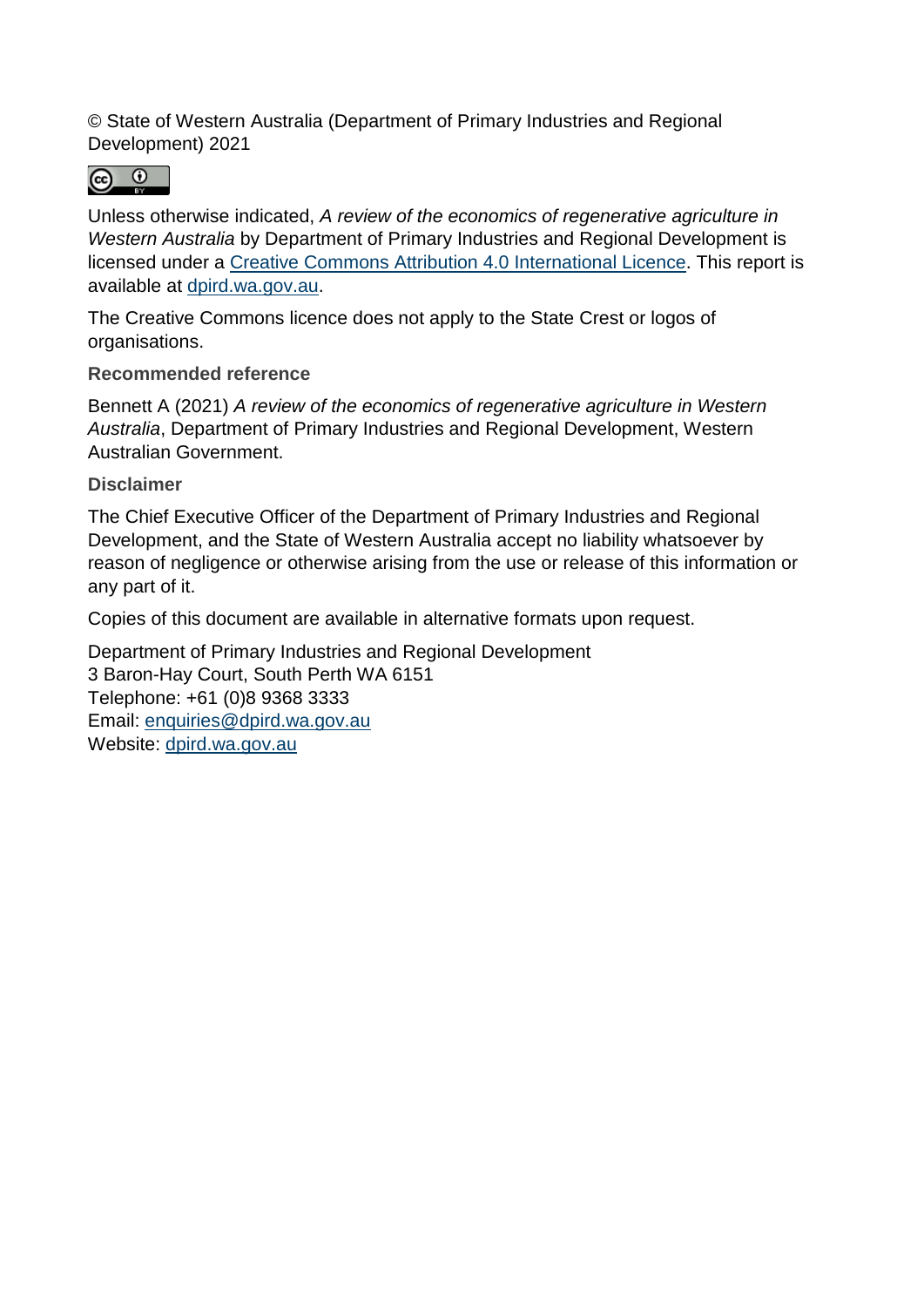© State of Western Australia (Department of Primary Industries and Regional Development) 2021

 $\odot$  $\odot$ 

Unless otherwise indicated, *A review of the economics of regenerative agriculture in Western Australia* by Department of Primary Industries and Regional Development is licensed under a [Creative Commons Attribution 4.0](https://creativecommons.org/licenses/by/4.0/) International Licence. This report is available at [dpird.wa.gov.au.](https://www.dpird.wa.gov.au/)

The Creative Commons licence does not apply to the State Crest or logos of organisations.

**Recommended reference**

Bennett A (2021) *A review of the economics of regenerative agriculture in Western Australia*, Department of Primary Industries and Regional Development, Western Australian Government.

**Disclaimer**

The Chief Executive Officer of the Department of Primary Industries and Regional Development, and the State of Western Australia accept no liability whatsoever by reason of negligence or otherwise arising from the use or release of this information or any part of it.

Copies of this document are available in alternative formats upon request.

Department of Primary Industries and Regional Development 3 Baron-Hay Court, South Perth WA 6151 Telephone: +61 (0)8 9368 3333 Email: [enquiries@dpird.wa.gov.au](mailto:enquiries@dpird.wa.gov.au) Website: [dpird.wa.gov.au](http://www.dpird.wa.gov.au/)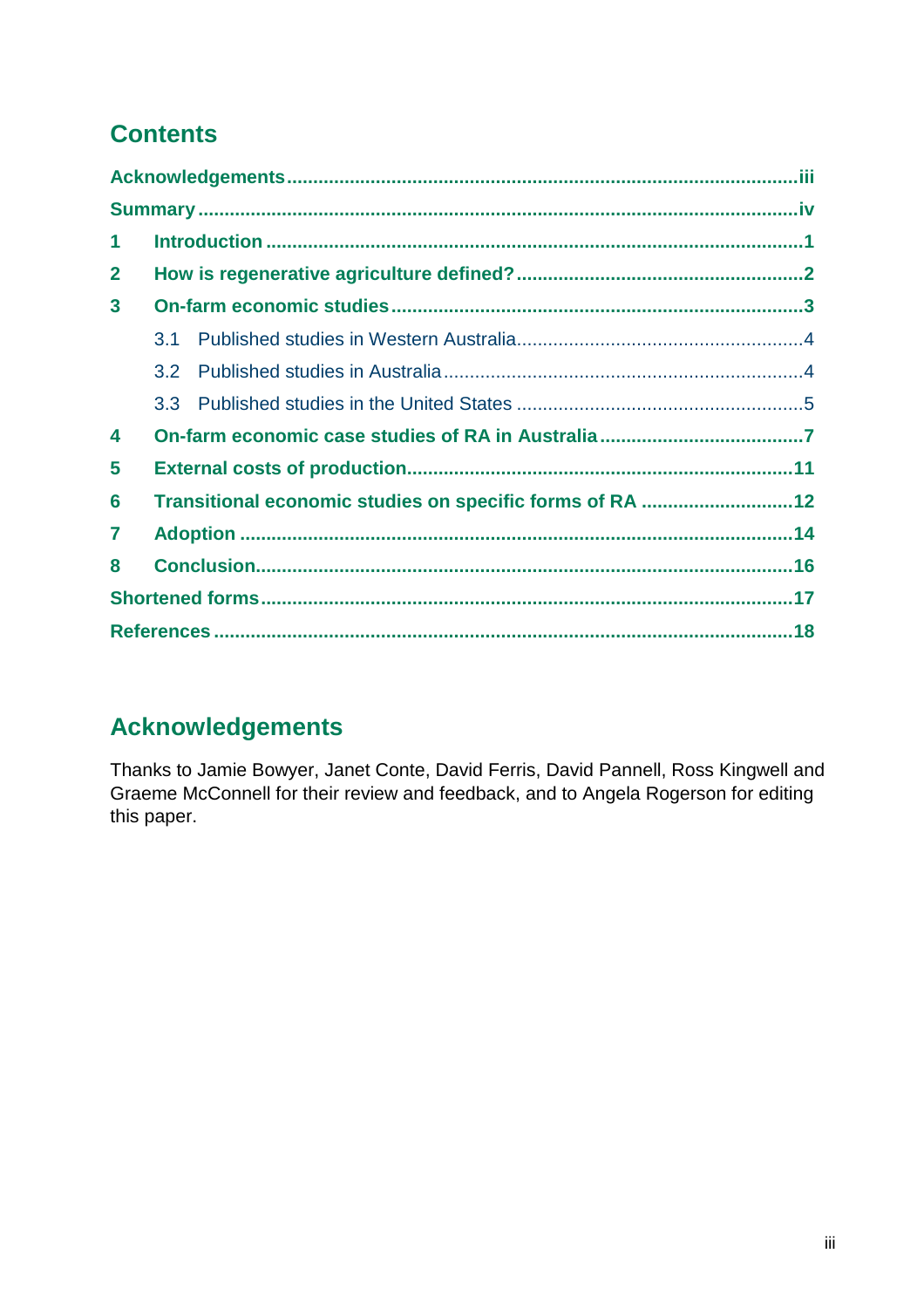# **Contents**

| 1            |                                                          |  |  |  |  |  |
|--------------|----------------------------------------------------------|--|--|--|--|--|
| $\mathbf{2}$ |                                                          |  |  |  |  |  |
| $\mathbf{3}$ |                                                          |  |  |  |  |  |
|              | 31                                                       |  |  |  |  |  |
|              | 3.2                                                      |  |  |  |  |  |
|              |                                                          |  |  |  |  |  |
| 4            |                                                          |  |  |  |  |  |
| 5            |                                                          |  |  |  |  |  |
| 6            | Transitional economic studies on specific forms of RA 12 |  |  |  |  |  |
| 7            |                                                          |  |  |  |  |  |
| 8            |                                                          |  |  |  |  |  |
|              |                                                          |  |  |  |  |  |
|              |                                                          |  |  |  |  |  |

# **Acknowledgements**

Thanks to Jamie Bowyer, Janet Conte, David Ferris, David Pannell, Ross Kingwell and Graeme McConnell for their review and feedback, and to Angela Rogerson for editing this paper.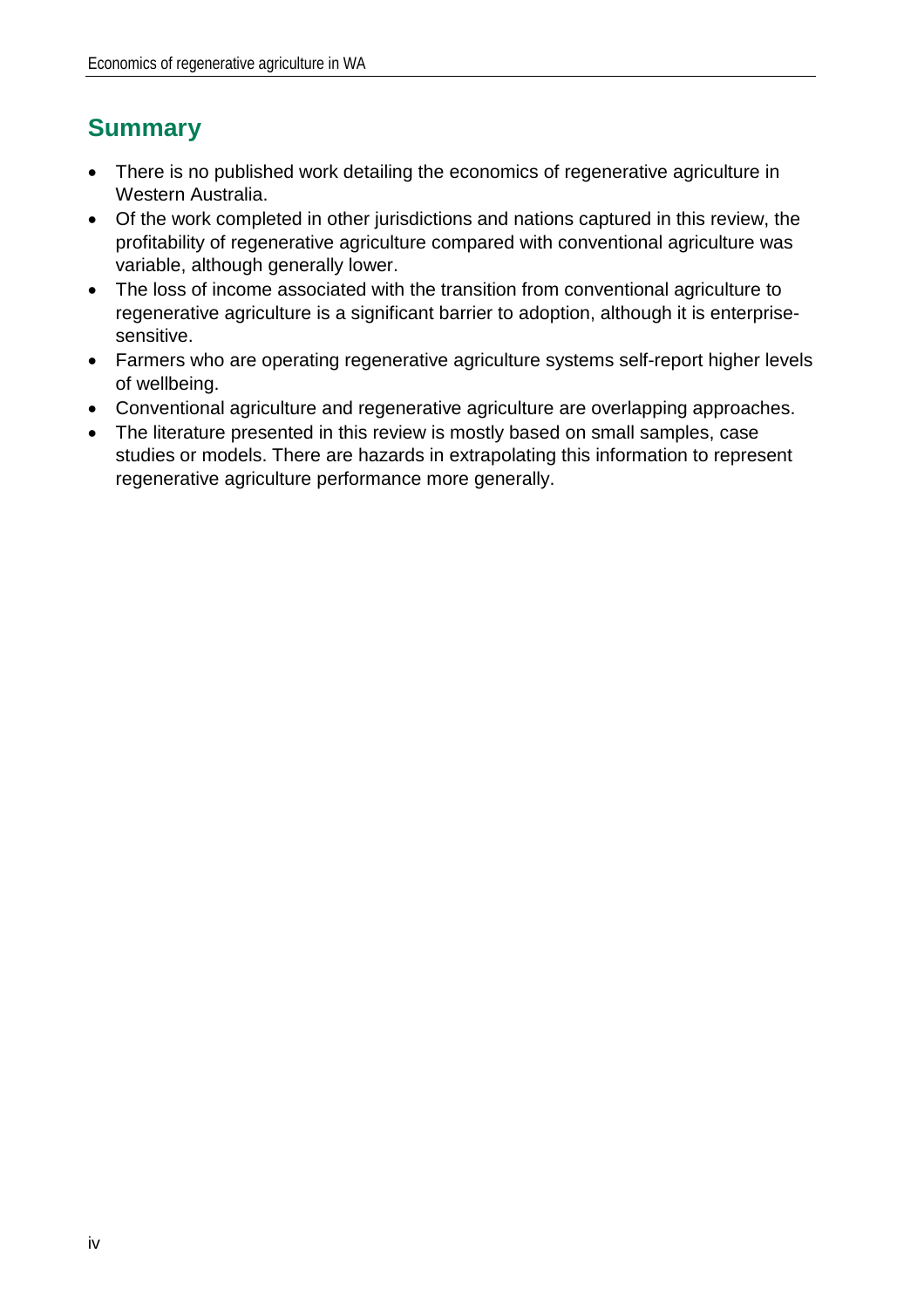# **Summary**

- There is no published work detailing the economics of regenerative agriculture in Western Australia.
- Of the work completed in other jurisdictions and nations captured in this review, the profitability of regenerative agriculture compared with conventional agriculture was variable, although generally lower.
- The loss of income associated with the transition from conventional agriculture to regenerative agriculture is a significant barrier to adoption, although it is enterprisesensitive.
- Farmers who are operating regenerative agriculture systems self-report higher levels of wellbeing.
- Conventional agriculture and regenerative agriculture are overlapping approaches.
- The literature presented in this review is mostly based on small samples, case studies or models. There are hazards in extrapolating this information to represent regenerative agriculture performance more generally.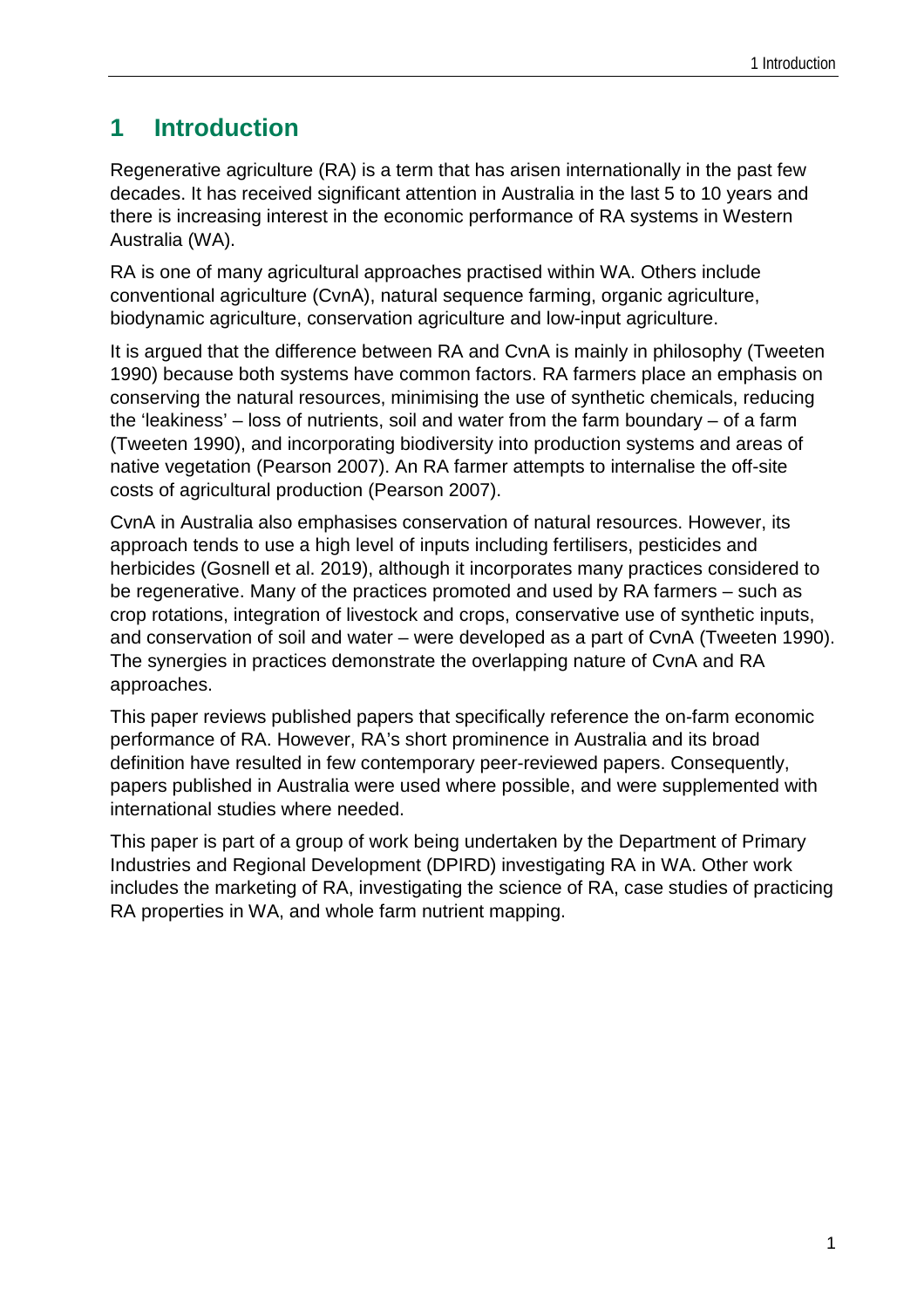### **1 Introduction**

Regenerative agriculture (RA) is a term that has arisen internationally in the past few decades. It has received significant attention in Australia in the last 5 to 10 years and there is increasing interest in the economic performance of RA systems in Western Australia (WA).

RA is one of many agricultural approaches practised within WA. Others include conventional agriculture (CvnA), natural sequence farming, organic agriculture, biodynamic agriculture, conservation agriculture and low-input agriculture.

It is argued that the difference between RA and CvnA is mainly in philosophy (Tweeten 1990) because both systems have common factors. RA farmers place an emphasis on conserving the natural resources, minimising the use of synthetic chemicals, reducing the 'leakiness' – loss of nutrients, soil and water from the farm boundary – of a farm (Tweeten 1990), and incorporating biodiversity into production systems and areas of native vegetation (Pearson 2007). An RA farmer attempts to internalise the off-site costs of agricultural production (Pearson 2007).

CvnA in Australia also emphasises conservation of natural resources. However, its approach tends to use a high level of inputs including fertilisers, pesticides and herbicides (Gosnell et al. 2019), although it incorporates many practices considered to be regenerative. Many of the practices promoted and used by RA farmers – such as crop rotations, integration of livestock and crops, conservative use of synthetic inputs, and conservation of soil and water – were developed as a part of CvnA (Tweeten 1990). The synergies in practices demonstrate the overlapping nature of CvnA and RA approaches.

This paper reviews published papers that specifically reference the on-farm economic performance of RA. However, RA's short prominence in Australia and its broad definition have resulted in few contemporary peer-reviewed papers. Consequently, papers published in Australia were used where possible, and were supplemented with international studies where needed.

This paper is part of a group of work being undertaken by the Department of Primary Industries and Regional Development (DPIRD) investigating RA in WA. Other work includes the marketing of RA, investigating the science of RA, case studies of practicing RA properties in WA, and whole farm nutrient mapping.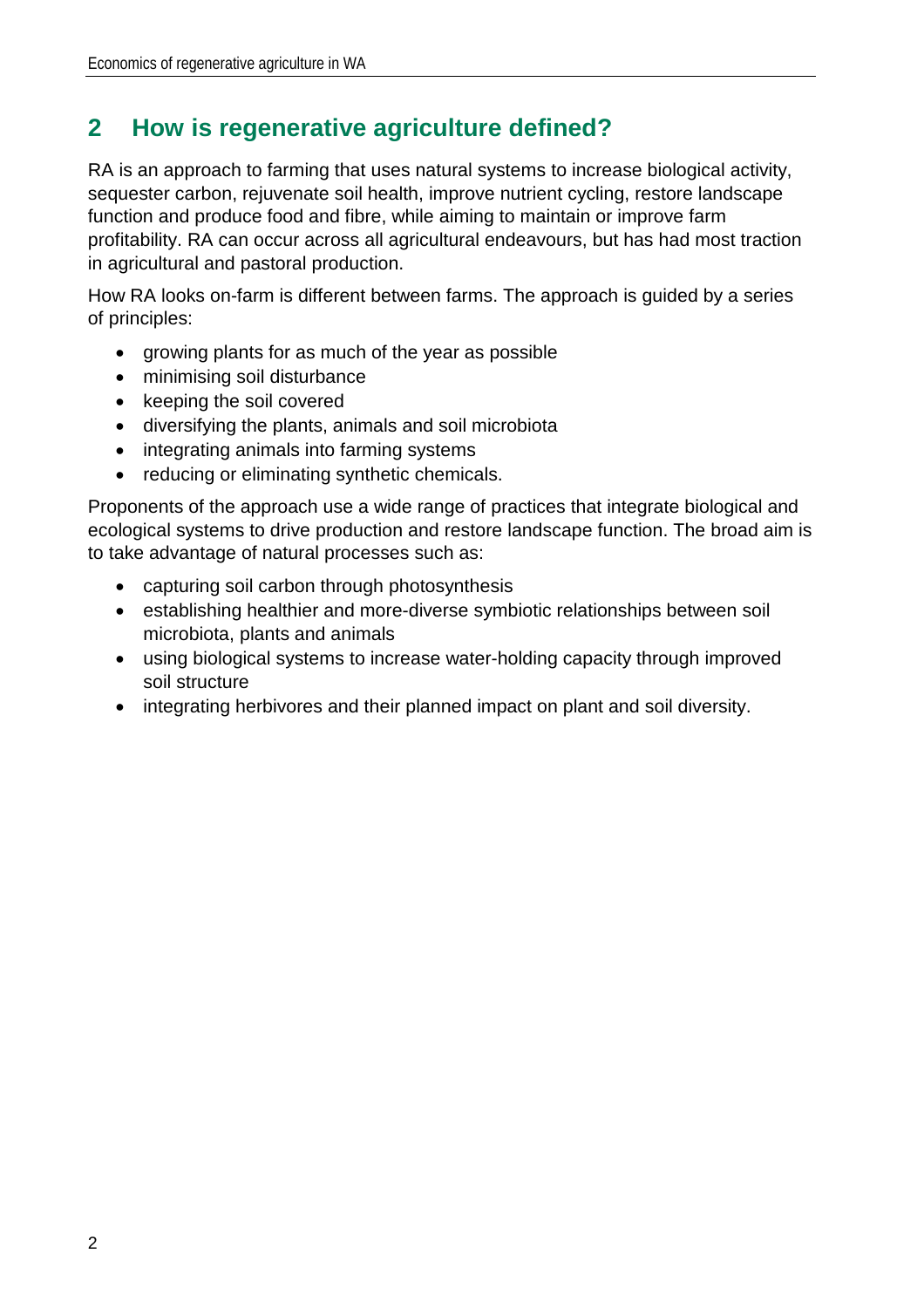## **2 How is regenerative agriculture defined?**

RA is an approach to farming that uses natural systems to increase biological activity, sequester carbon, rejuvenate soil health, improve nutrient cycling, restore landscape function and produce food and fibre, while aiming to maintain or improve farm profitability. RA can occur across all agricultural endeavours, but has had most traction in agricultural and pastoral production.

How RA looks on-farm is different between farms. The approach is guided by a series of principles:

- growing plants for as much of the year as possible
- minimising soil disturbance
- keeping the soil covered
- diversifying the plants, animals and soil microbiota
- integrating animals into farming systems
- reducing or eliminating synthetic chemicals.

Proponents of the approach use a wide range of practices that integrate biological and ecological systems to drive production and restore landscape function. The broad aim is to take advantage of natural processes such as:

- capturing soil carbon through photosynthesis
- establishing healthier and more-diverse symbiotic relationships between soil microbiota, plants and animals
- using biological systems to increase water-holding capacity through improved soil structure
- integrating herbivores and their planned impact on plant and soil diversity.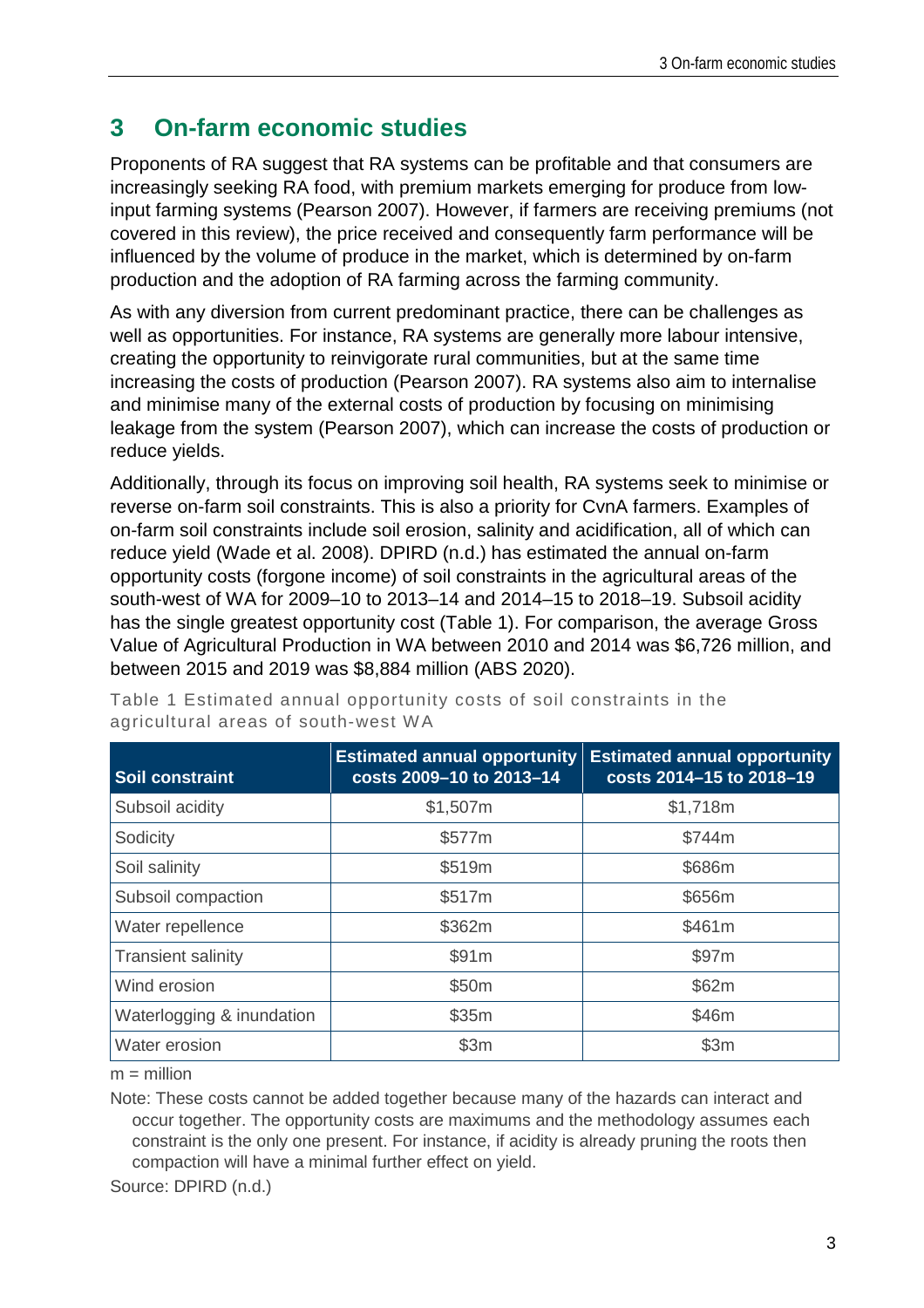### **3 On-farm economic studies**

Proponents of RA suggest that RA systems can be profitable and that consumers are increasingly seeking RA food, with premium markets emerging for produce from lowinput farming systems (Pearson 2007). However, if farmers are receiving premiums (not covered in this review), the price received and consequently farm performance will be influenced by the volume of produce in the market, which is determined by on-farm production and the adoption of RA farming across the farming community.

As with any diversion from current predominant practice, there can be challenges as well as opportunities. For instance, RA systems are generally more labour intensive, creating the opportunity to reinvigorate rural communities, but at the same time increasing the costs of production (Pearson 2007). RA systems also aim to internalise and minimise many of the external costs of production by focusing on minimising leakage from the system (Pearson 2007), which can increase the costs of production or reduce yields.

Additionally, through its focus on improving soil health, RA systems seek to minimise or reverse on-farm soil constraints. This is also a priority for CvnA farmers. Examples of on-farm soil constraints include soil erosion, salinity and acidification, all of which can reduce yield (Wade et al. 2008). DPIRD (n.d.) has estimated the annual on-farm opportunity costs (forgone income) of soil constraints in the agricultural areas of the south-west of WA for 2009–10 to 2013–14 and 2014–15 to 2018–19. Subsoil acidity has the single greatest opportunity cost [\(Table 1\)](#page-9-0). For comparison, the average Gross Value of Agricultural Production in WA between 2010 and 2014 was \$6,726 million, and between 2015 and 2019 was \$8,884 million (ABS 2020).

| <b>Soil constraint</b>    | <b>Estimated annual opportunity</b><br>costs 2009-10 to 2013-14 | <b>Estimated annual opportunity</b><br>costs 2014-15 to 2018-19 |
|---------------------------|-----------------------------------------------------------------|-----------------------------------------------------------------|
| Subsoil acidity           | \$1,507m                                                        | \$1,718m                                                        |
| Sodicity                  | \$577m                                                          | \$744m                                                          |
| Soil salinity             | \$519m                                                          | \$686m                                                          |
| Subsoil compaction        | \$517m                                                          | \$656m                                                          |
| Water repellence          | \$362m                                                          | \$461m                                                          |
| <b>Transient salinity</b> | \$91m                                                           | \$97m                                                           |
| Wind erosion              | \$50m                                                           | \$62m                                                           |
| Waterlogging & inundation | \$35m                                                           | \$46m                                                           |
| Water erosion             | \$3m                                                            | \$3m                                                            |

<span id="page-9-0"></span>Table 1 Estimated annual opportunity costs of soil constraints in the agricultural areas of south-west WA

 $m =$  million

Note: These costs cannot be added together because many of the hazards can interact and occur together. The opportunity costs are maximums and the methodology assumes each constraint is the only one present. For instance, if acidity is already pruning the roots then compaction will have a minimal further effect on yield.

Source: DPIRD (n.d.)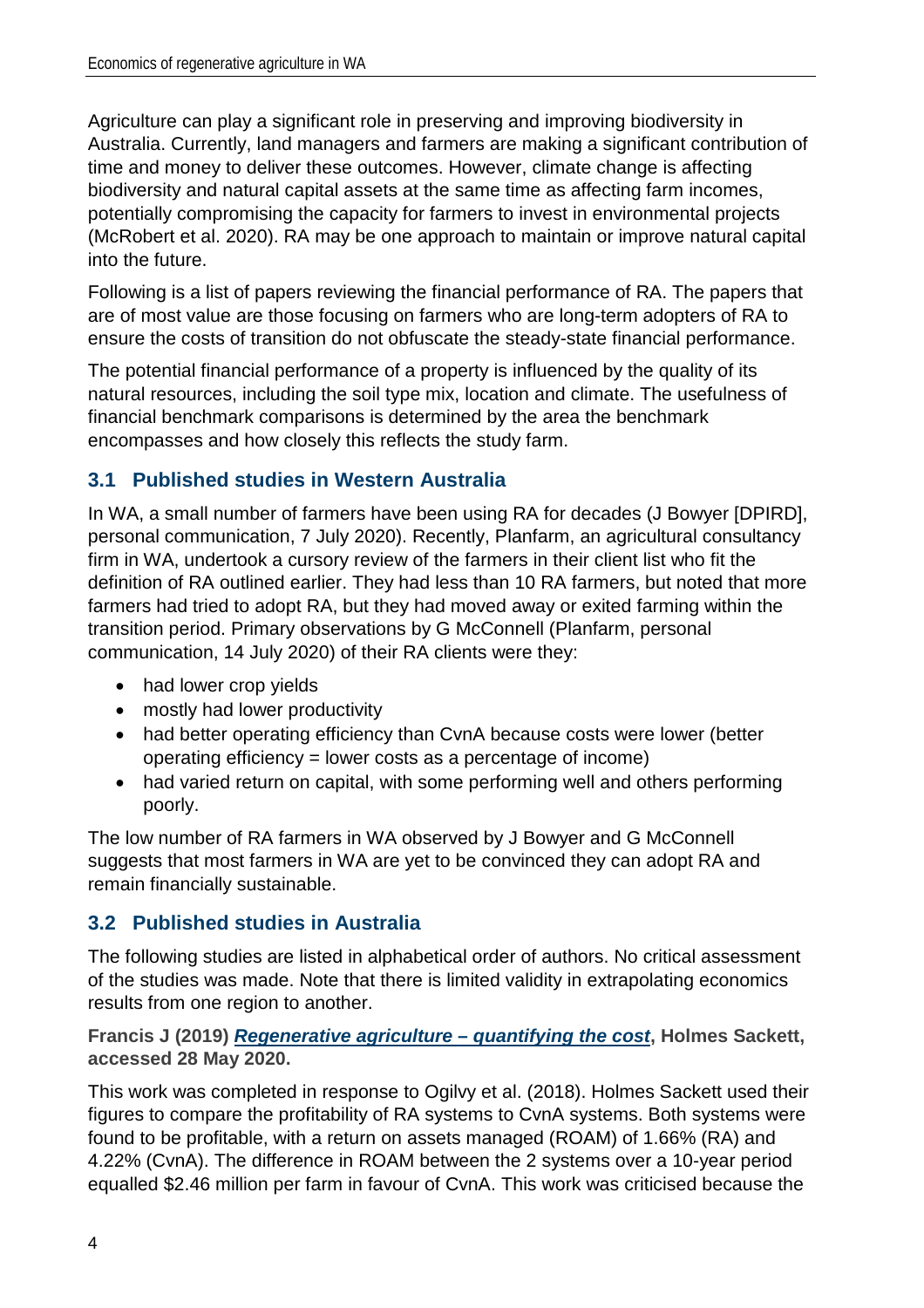Agriculture can play a significant role in preserving and improving biodiversity in Australia. Currently, land managers and farmers are making a significant contribution of time and money to deliver these outcomes. However, climate change is affecting biodiversity and natural capital assets at the same time as affecting farm incomes, potentially compromising the capacity for farmers to invest in environmental projects (McRobert et al. 2020). RA may be one approach to maintain or improve natural capital into the future.

Following is a list of papers reviewing the financial performance of RA. The papers that are of most value are those focusing on farmers who are long-term adopters of RA to ensure the costs of transition do not obfuscate the steady-state financial performance.

The potential financial performance of a property is influenced by the quality of its natural resources, including the soil type mix, location and climate. The usefulness of financial benchmark comparisons is determined by the area the benchmark encompasses and how closely this reflects the study farm.

#### **3.1 Published studies in Western Australia**

In WA, a small number of farmers have been using RA for decades (J Bowyer [DPIRD], personal communication, 7 July 2020). Recently, Planfarm, an agricultural consultancy firm in WA, undertook a cursory review of the farmers in their client list who fit the definition of RA outlined earlier. They had less than 10 RA farmers, but noted that more farmers had tried to adopt RA, but they had moved away or exited farming within the transition period. Primary observations by G McConnell (Planfarm, personal communication, 14 July 2020) of their RA clients were they:

- had lower crop yields
- mostly had lower productivity
- had better operating efficiency than CvnA because costs were lower (better operating efficiency = lower costs as a percentage of income)
- had varied return on capital, with some performing well and others performing poorly.

The low number of RA farmers in WA observed by J Bowyer and G McConnell suggests that most farmers in WA are yet to be convinced they can adopt RA and remain financially sustainable.

#### **3.2 Published studies in Australia**

The following studies are listed in alphabetical order of authors. No critical assessment of the studies was made. Note that there is limited validity in extrapolating economics results from one region to another.

**Francis J (2019)** *[Regenerative agriculture –](https://www.agrista.com.au/publications-and-tools) quantifying the cost***, Holmes Sackett, accessed 28 May 2020.**

This work was completed in response to Ogilvy et al. (2018). Holmes Sackett used their figures to compare the profitability of RA systems to CvnA systems. Both systems were found to be profitable, with a return on assets managed (ROAM) of 1.66% (RA) and 4.22% (CvnA). The difference in ROAM between the 2 systems over a 10-year period equalled \$2.46 million per farm in favour of CvnA. This work was criticised because the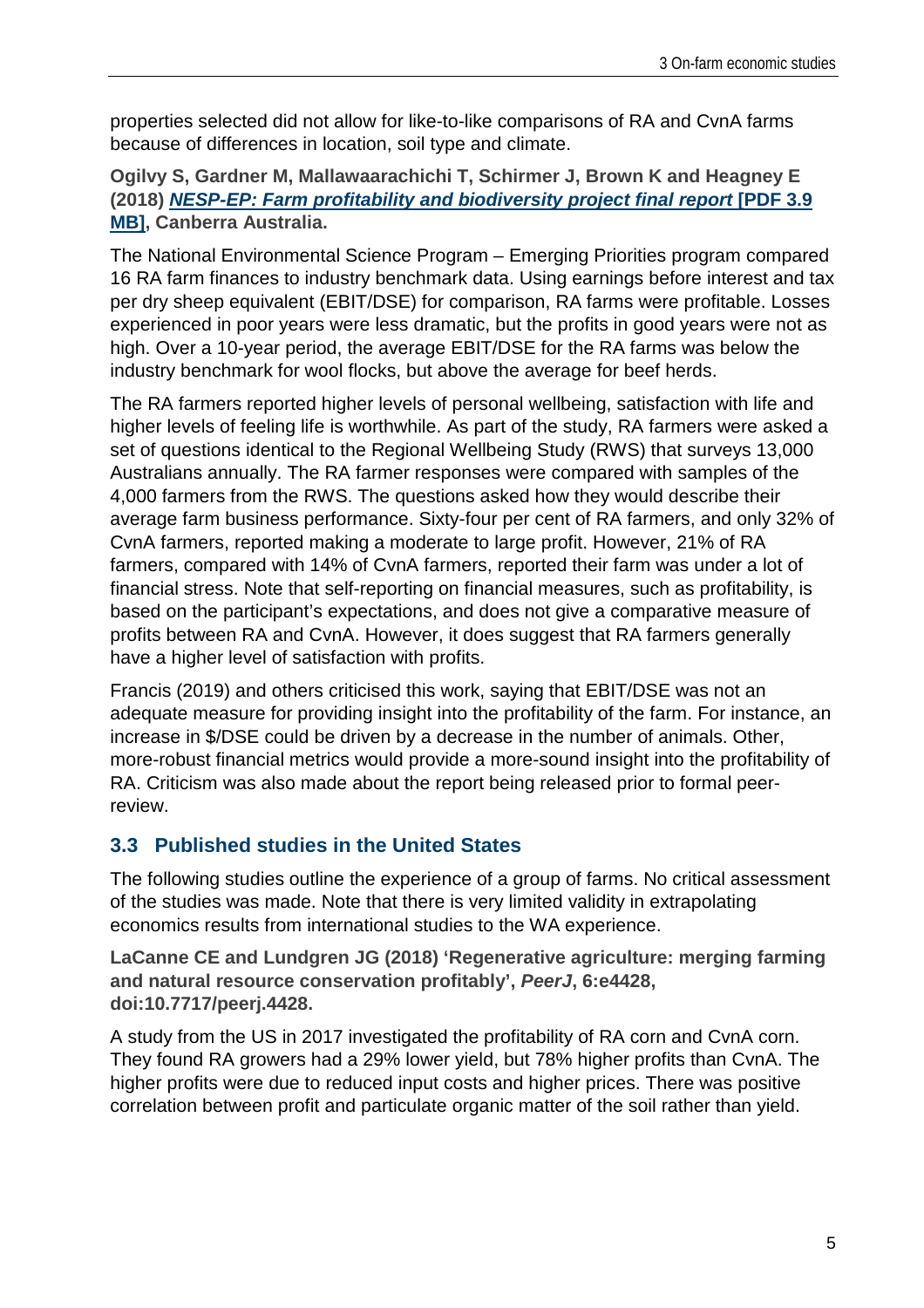properties selected did not allow for like-to-like comparisons of RA and CvnA farms because of differences in location, soil type and climate.

**Ogilvy S, Gardner M, Mallawaarachichi T, Schirmer J, Brown K and Heagney E (2018)** *[NESP-EP: Farm profitability and biodiversity project final report](https://pureadvantage.org/wp-content/uploads/2018/11/NESP-EP-Farm-profitability-and-biodiversity-final-report.pdf)* **[PDF 3.9 [MB\],](https://pureadvantage.org/wp-content/uploads/2018/11/NESP-EP-Farm-profitability-and-biodiversity-final-report.pdf) Canberra Australia.** 

The National Environmental Science Program – Emerging Priorities program compared 16 RA farm finances to industry benchmark data. Using earnings before interest and tax per dry sheep equivalent (EBIT/DSE) for comparison, RA farms were profitable. Losses experienced in poor years were less dramatic, but the profits in good years were not as high. Over a 10-year period, the average EBIT/DSE for the RA farms was below the industry benchmark for wool flocks, but above the average for beef herds.

The RA farmers reported higher levels of personal wellbeing, satisfaction with life and higher levels of feeling life is worthwhile. As part of the study, RA farmers were asked a set of questions identical to the Regional Wellbeing Study (RWS) that surveys 13,000 Australians annually. The RA farmer responses were compared with samples of the 4,000 farmers from the RWS. The questions asked how they would describe their average farm business performance. Sixty-four per cent of RA farmers, and only 32% of CvnA farmers, reported making a moderate to large profit. However, 21% of RA farmers, compared with 14% of CvnA farmers, reported their farm was under a lot of financial stress. Note that self-reporting on financial measures, such as profitability, is based on the participant's expectations, and does not give a comparative measure of profits between RA and CvnA. However, it does suggest that RA farmers generally have a higher level of satisfaction with profits.

Francis (2019) and others criticised this work, saying that EBIT/DSE was not an adequate measure for providing insight into the profitability of the farm. For instance, an increase in \$/DSE could be driven by a decrease in the number of animals. Other, more-robust financial metrics would provide a more-sound insight into the profitability of RA. Criticism was also made about the report being released prior to formal peerreview.

#### **3.3 Published studies in the United States**

The following studies outline the experience of a group of farms. No critical assessment of the studies was made. Note that there is very limited validity in extrapolating economics results from international studies to the WA experience.

**LaCanne CE and Lundgren JG (2018) 'Regenerative agriculture: merging farming and natural resource conservation profitably',** *PeerJ***, 6:e4428, doi:10.7717/peerj.4428.**

A study from the US in 2017 investigated the profitability of RA corn and CvnA corn. They found RA growers had a 29% lower yield, but 78% higher profits than CvnA. The higher profits were due to reduced input costs and higher prices. There was positive correlation between profit and particulate organic matter of the soil rather than yield.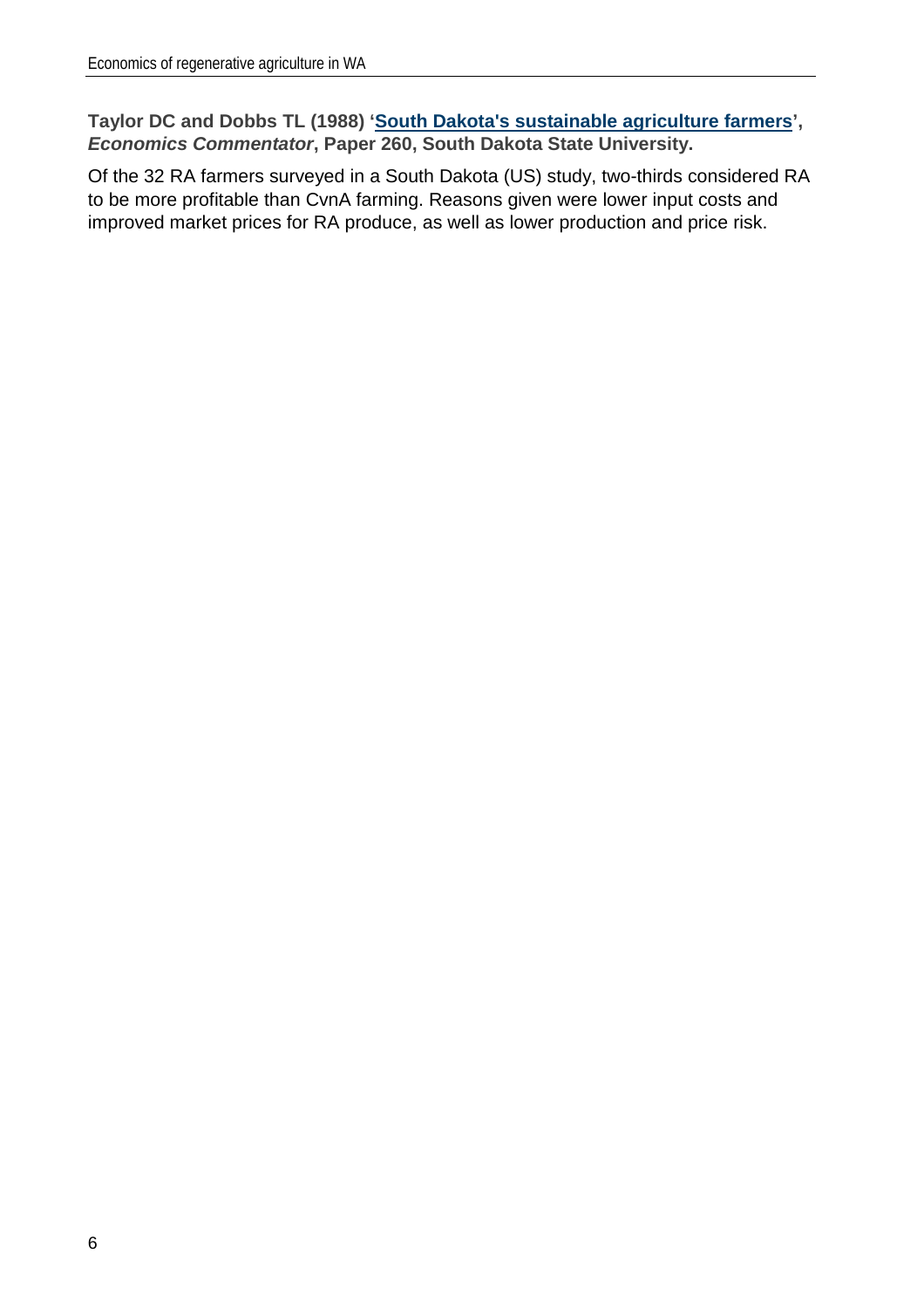**Taylor DC and Dobbs TL (1988) ['South Dakota's sustainable agriculture farmers'](http://openprairie.sdstate.edu/econ_comm/260),**  *Economics Commentator***, Paper 260, South Dakota State University.** 

Of the 32 RA farmers surveyed in a South Dakota (US) study, two-thirds considered RA to be more profitable than CvnA farming. Reasons given were lower input costs and improved market prices for RA produce, as well as lower production and price risk.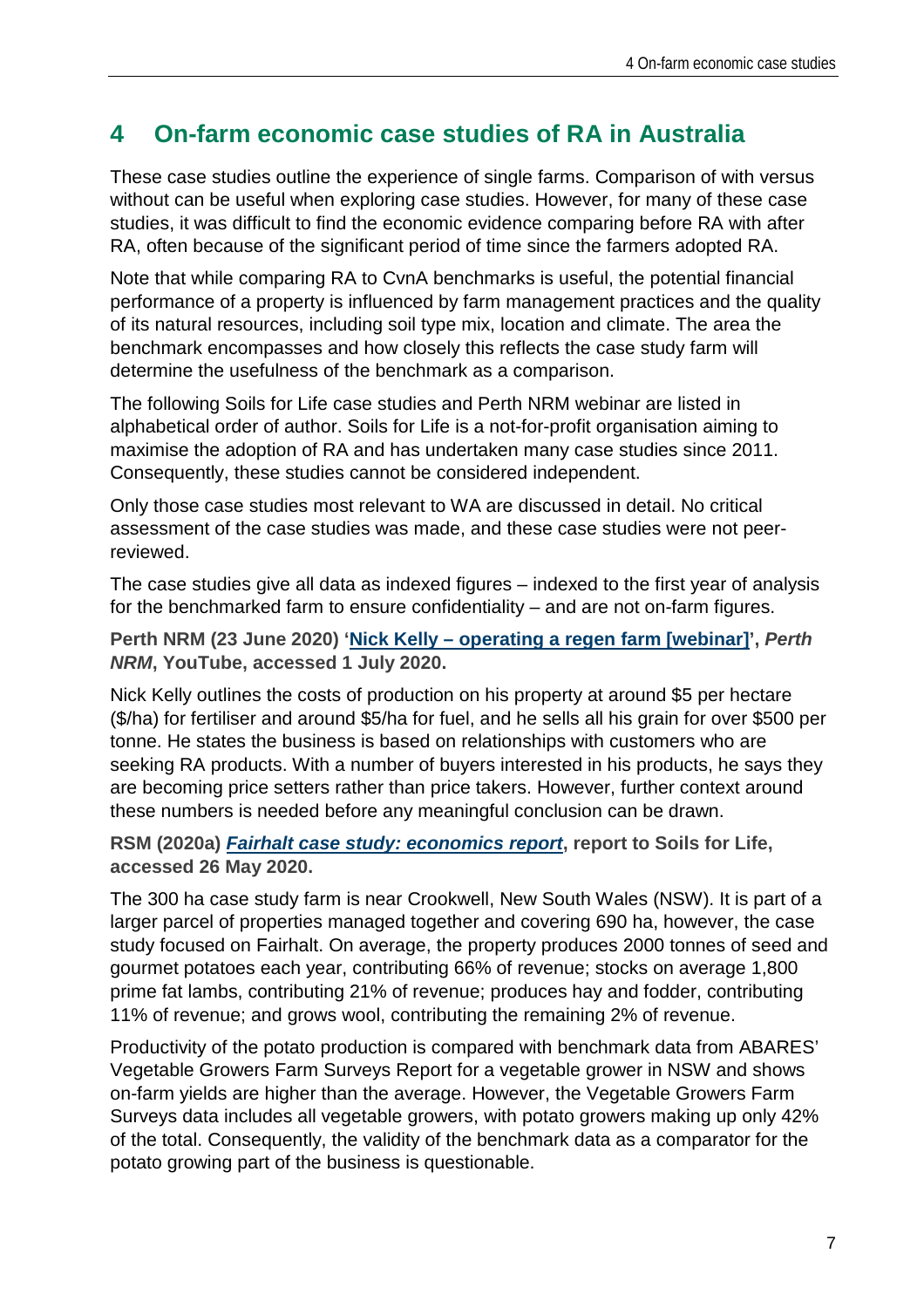### **4 On-farm economic case studies of RA in Australia**

These case studies outline the experience of single farms. Comparison of with versus without can be useful when exploring case studies. However, for many of these case studies, it was difficult to find the economic evidence comparing before RA with after RA, often because of the significant period of time since the farmers adopted RA.

Note that while comparing RA to CvnA benchmarks is useful, the potential financial performance of a property is influenced by farm management practices and the quality of its natural resources, including soil type mix, location and climate. The area the benchmark encompasses and how closely this reflects the case study farm will determine the usefulness of the benchmark as a comparison.

The following Soils for Life case studies and Perth NRM webinar are listed in alphabetical order of author. Soils for Life is a not-for-profit organisation aiming to maximise the adoption of RA and has undertaken many case studies since 2011. Consequently, these studies cannot be considered independent.

Only those case studies most relevant to WA are discussed in detail. No critical assessment of the case studies was made, and these case studies were not peerreviewed.

The case studies give all data as indexed figures – indexed to the first year of analysis for the benchmarked farm to ensure confidentiality – and are not on-farm figures.

**Perth NRM (23 June 2020) 'Nick Kelly – [operating a regen farm \[webinar\]'](https://www.youtube.com/watch?v=lWgofG9SZVI&feature=youtu.be),** *Perth NRM***, YouTube, accessed 1 July 2020.**

Nick Kelly outlines the costs of production on his property at around \$5 per hectare (\$/ha) for fertiliser and around \$5/ha for fuel, and he sells all his grain for over \$500 per tonne. He states the business is based on relationships with customers who are seeking RA products. With a number of buyers interested in his products, he says they are becoming price setters rather than price takers. However, further context around these numbers is needed before any meaningful conclusion can be drawn.

**RSM (2020a)** *[Fairhalt case study: economics report](https://soilsforlife.org.au/garry-kadwell-fairhalt/)***, report to Soils for Life, accessed 26 May 2020.**

The 300 ha case study farm is near Crookwell, New South Wales (NSW). It is part of a larger parcel of properties managed together and covering 690 ha, however, the case study focused on Fairhalt. On average, the property produces 2000 tonnes of seed and gourmet potatoes each year, contributing 66% of revenue; stocks on average 1,800 prime fat lambs, contributing 21% of revenue; produces hay and fodder, contributing 11% of revenue; and grows wool, contributing the remaining 2% of revenue.

Productivity of the potato production is compared with benchmark data from ABARES' Vegetable Growers Farm Surveys Report for a vegetable grower in NSW and shows on-farm yields are higher than the average. However, the Vegetable Growers Farm Surveys data includes all vegetable growers, with potato growers making up only 42% of the total. Consequently, the validity of the benchmark data as a comparator for the potato growing part of the business is questionable.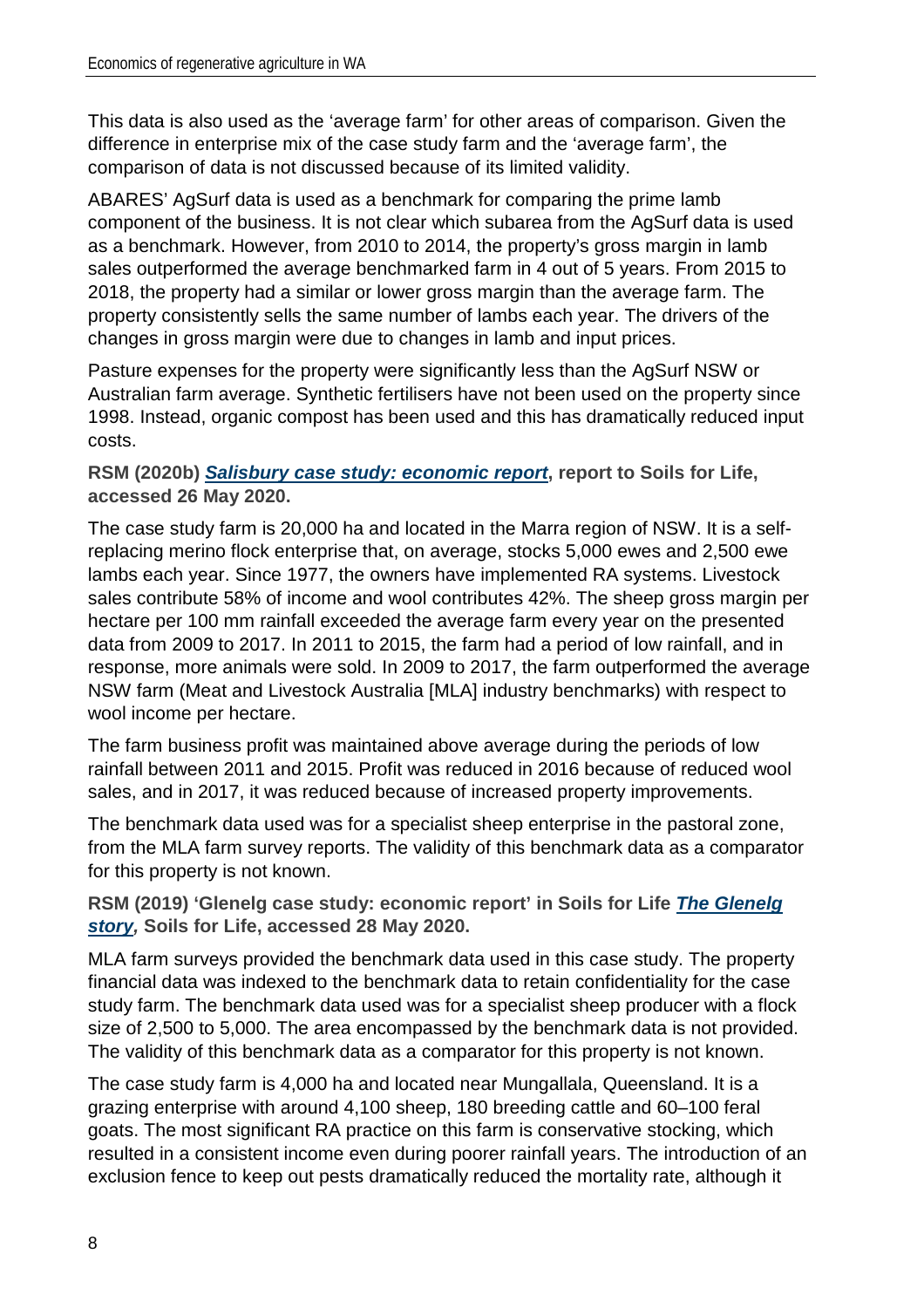This data is also used as the 'average farm' for other areas of comparison. Given the difference in enterprise mix of the case study farm and the 'average farm', the comparison of data is not discussed because of its limited validity.

ABARES' AgSurf data is used as a benchmark for comparing the prime lamb component of the business. It is not clear which subarea from the AgSurf data is used as a benchmark. However, from 2010 to 2014, the property's gross margin in lamb sales outperformed the average benchmarked farm in 4 out of 5 years. From 2015 to 2018, the property had a similar or lower gross margin than the average farm. The property consistently sells the same number of lambs each year. The drivers of the changes in gross margin were due to changes in lamb and input prices.

Pasture expenses for the property were significantly less than the AgSurf NSW or Australian farm average. Synthetic fertilisers have not been used on the property since 1998. Instead, organic compost has been used and this has dramatically reduced input costs.

**RSM (2020b)** *[Salisbury case study: economic report](https://soilsforlife.org.au/salisbury-rehabilitating-the-scalds/)***, report to Soils for Life, accessed 26 May 2020.**

The case study farm is 20,000 ha and located in the Marra region of NSW. It is a selfreplacing merino flock enterprise that, on average, stocks 5,000 ewes and 2,500 ewe lambs each year. Since 1977, the owners have implemented RA systems. Livestock sales contribute 58% of income and wool contributes 42%. The sheep gross margin per hectare per 100 mm rainfall exceeded the average farm every year on the presented data from 2009 to 2017. In 2011 to 2015, the farm had a period of low rainfall, and in response, more animals were sold. In 2009 to 2017, the farm outperformed the average NSW farm (Meat and Livestock Australia [MLA] industry benchmarks) with respect to wool income per hectare.

The farm business profit was maintained above average during the periods of low rainfall between 2011 and 2015. Profit was reduced in 2016 because of reduced wool sales, and in 2017, it was reduced because of increased property improvements.

The benchmark data used was for a specialist sheep enterprise in the pastoral zone, from the MLA farm survey reports. The validity of this benchmark data as a comparator for this property is not known.

**RSM (2019) 'Glenelg case study: economic report' in Soils for Life** *[The Glenelg](https://soilsforlife.org.au/the-glenelg-story/)  [story,](https://soilsforlife.org.au/the-glenelg-story/)* **Soils for Life, accessed 28 May 2020.**

MLA farm surveys provided the benchmark data used in this case study. The property financial data was indexed to the benchmark data to retain confidentiality for the case study farm. The benchmark data used was for a specialist sheep producer with a flock size of 2,500 to 5,000. The area encompassed by the benchmark data is not provided. The validity of this benchmark data as a comparator for this property is not known.

The case study farm is 4,000 ha and located near Mungallala, Queensland. It is a grazing enterprise with around 4,100 sheep, 180 breeding cattle and 60–100 feral goats. The most significant RA practice on this farm is conservative stocking, which resulted in a consistent income even during poorer rainfall years. The introduction of an exclusion fence to keep out pests dramatically reduced the mortality rate, although it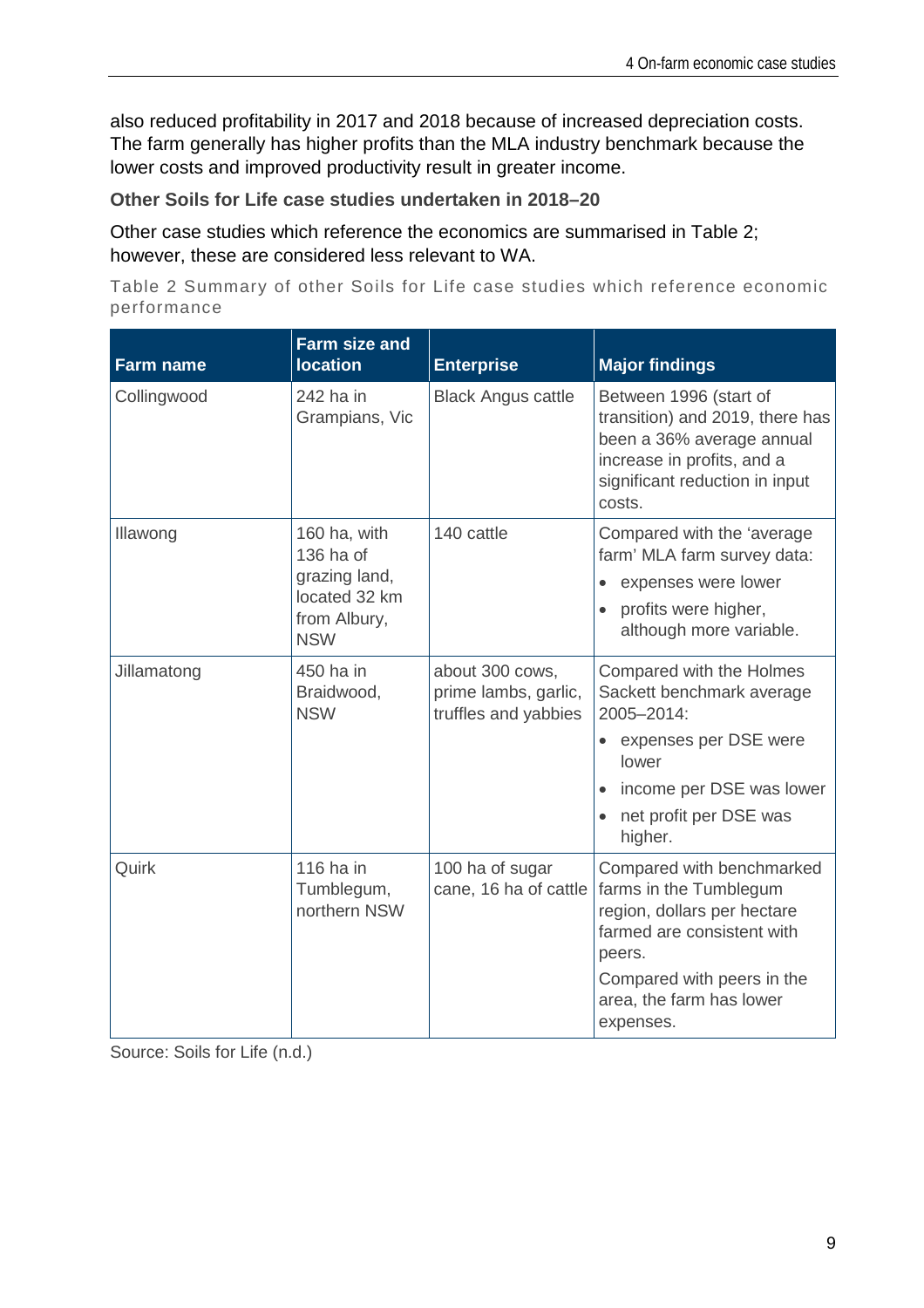also reduced profitability in 2017 and 2018 because of increased depreciation costs. The farm generally has higher profits than the MLA industry benchmark because the lower costs and improved productivity result in greater income.

**Other Soils for Life case studies undertaken in 2018–20**

Other case studies which reference the economics are summarised in [Table 2;](#page-15-0) however, these are considered less relevant to WA.

<span id="page-15-0"></span>Table 2 Summary of other Soils for Life case studies which reference economic performance

| <b>Farm name</b> | <b>Farm size and</b><br><b>location</b>                                                   | <b>Enterprise</b>                                               | <b>Major findings</b>                                                                                                                                                                             |
|------------------|-------------------------------------------------------------------------------------------|-----------------------------------------------------------------|---------------------------------------------------------------------------------------------------------------------------------------------------------------------------------------------------|
| Collingwood      | 242 ha in<br>Grampians, Vic                                                               | <b>Black Angus cattle</b>                                       | Between 1996 (start of<br>transition) and 2019, there has<br>been a 36% average annual<br>increase in profits, and a<br>significant reduction in input<br>costs.                                  |
| Illawong         | 160 ha, with<br>136 ha of<br>grazing land,<br>located 32 km<br>from Albury,<br><b>NSW</b> | 140 cattle                                                      | Compared with the 'average<br>farm' MLA farm survey data:<br>expenses were lower<br>$\bullet$<br>profits were higher,<br>although more variable.                                                  |
| Jillamatong      | 450 ha in<br>Braidwood,<br><b>NSW</b>                                                     | about 300 cows,<br>prime lambs, garlic,<br>truffles and yabbies | Compared with the Holmes<br>Sackett benchmark average<br>2005-2014:<br>• expenses per DSE were<br>lower<br>income per DSE was lower<br>net profit per DSE was<br>higher.                          |
| Quirk            | 116 ha in<br>Tumblegum,<br>northern NSW                                                   | 100 ha of sugar<br>cane, 16 ha of cattle                        | Compared with benchmarked<br>farms in the Tumblegum<br>region, dollars per hectare<br>farmed are consistent with<br>peers.<br>Compared with peers in the<br>area, the farm has lower<br>expenses. |

Source: Soils for Life (n.d.)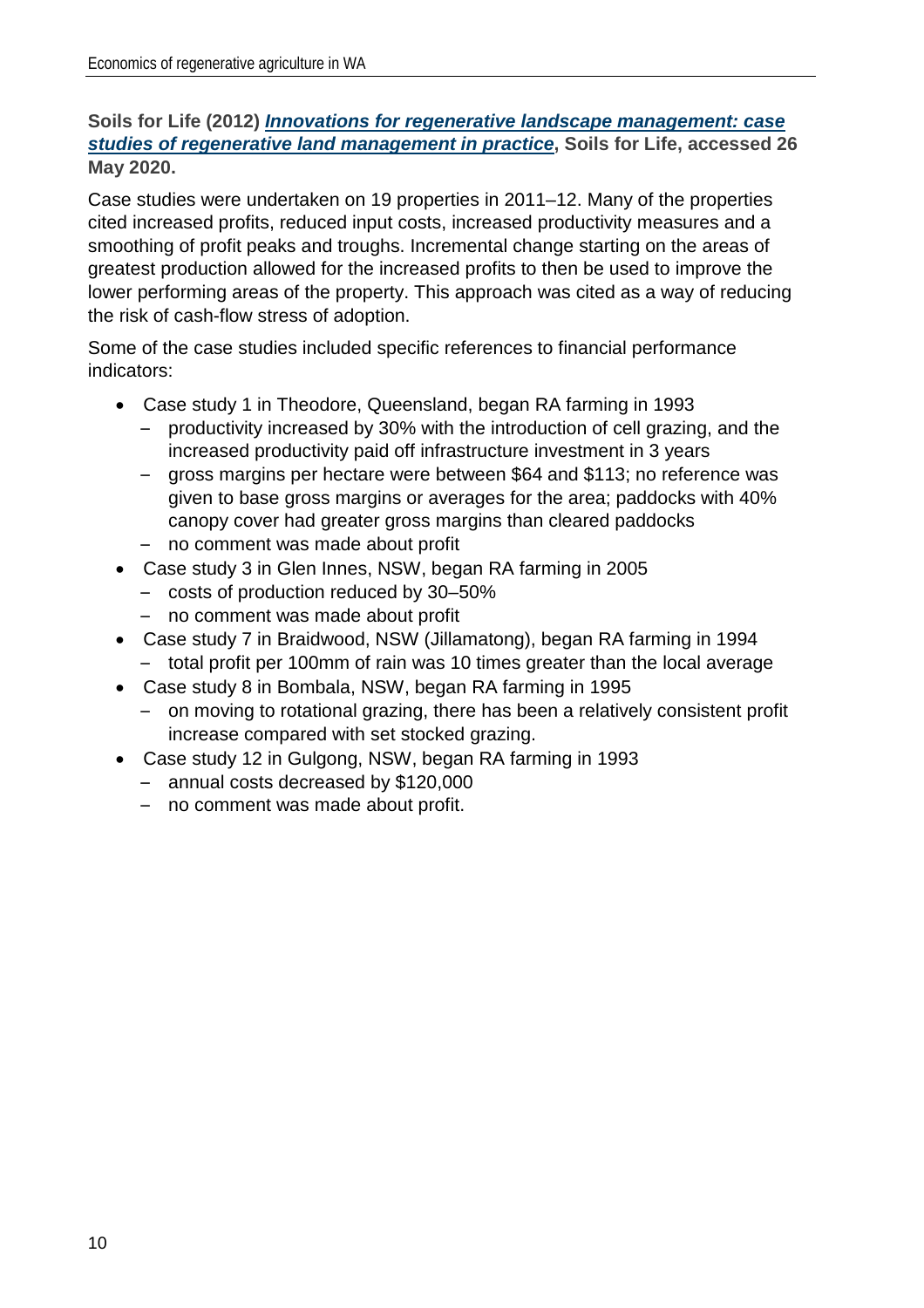#### **Soils for Life (2012)** *[Innovations for regenerative landscape management: case](https://soilsforlife.org.au/programs/case-studies/case-studies-round-1/)  [studies of regenerative land management in practice](https://soilsforlife.org.au/programs/case-studies/case-studies-round-1/)***, Soils for Life, accessed 26 May 2020.**

Case studies were undertaken on 19 properties in 2011–12. Many of the properties cited increased profits, reduced input costs, increased productivity measures and a smoothing of profit peaks and troughs. Incremental change starting on the areas of greatest production allowed for the increased profits to then be used to improve the lower performing areas of the property. This approach was cited as a way of reducing the risk of cash-flow stress of adoption.

Some of the case studies included specific references to financial performance indicators:

- Case study 1 in Theodore, Queensland, began RA farming in 1993
	- productivity increased by 30% with the introduction of cell grazing, and the increased productivity paid off infrastructure investment in 3 years
	- gross margins per hectare were between \$64 and \$113; no reference was given to base gross margins or averages for the area; paddocks with 40% canopy cover had greater gross margins than cleared paddocks – no comment was made about profit
- Case study 3 in Glen Innes, NSW, began RA farming in 2005
	- costs of production reduced by 30–50%
	- no comment was made about profit
- Case study 7 in Braidwood, NSW (Jillamatong), began RA farming in 1994
	- total profit per 100mm of rain was 10 times greater than the local average
- Case study 8 in Bombala, NSW, began RA farming in 1995
	- on moving to rotational grazing, there has been a relatively consistent profit increase compared with set stocked grazing.
- Case study 12 in Gulgong, NSW, began RA farming in 1993
	- annual costs decreased by \$120,000
	- no comment was made about profit.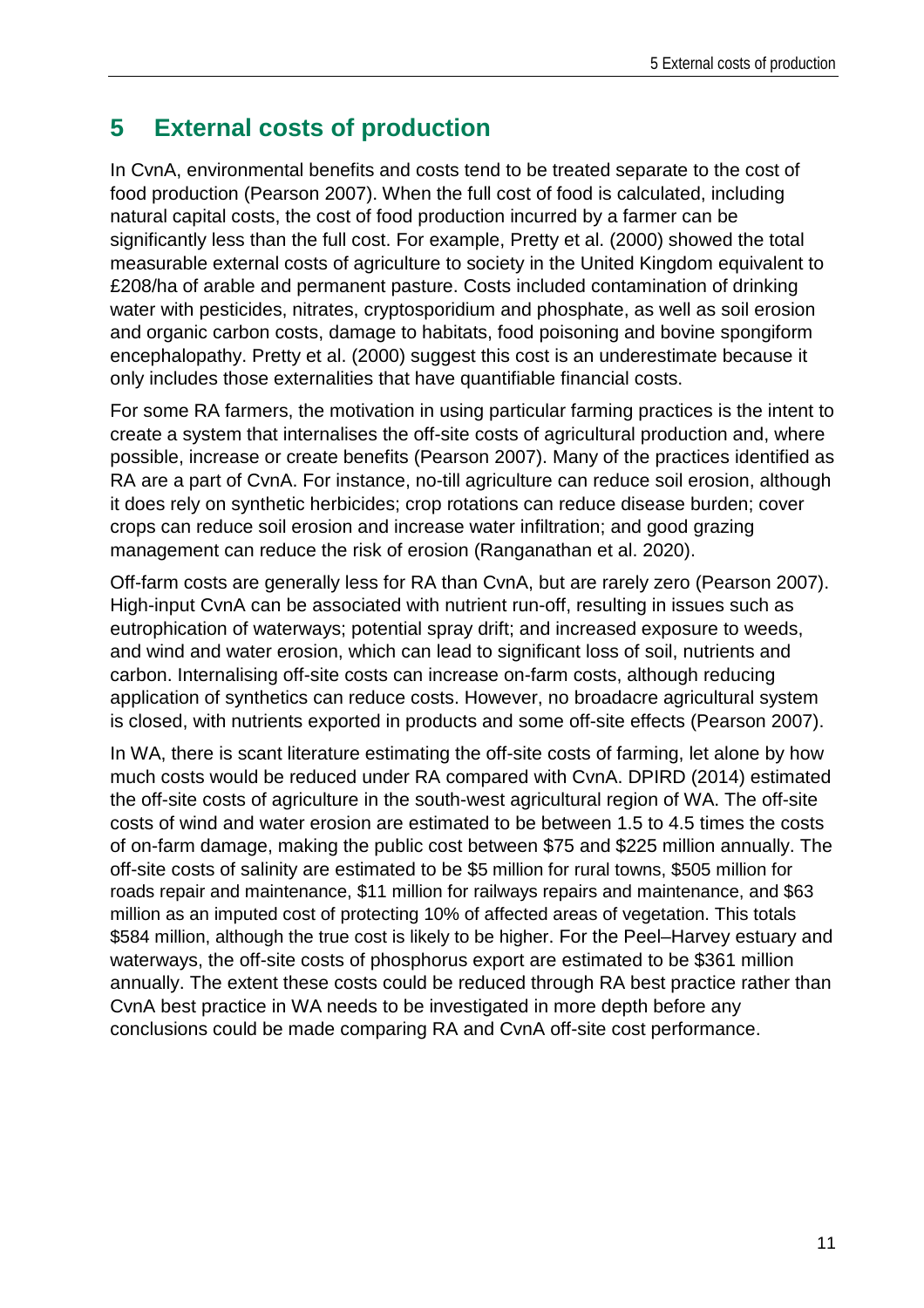### **5 External costs of production**

In CvnA, environmental benefits and costs tend to be treated separate to the cost of food production (Pearson 2007). When the full cost of food is calculated, including natural capital costs, the cost of food production incurred by a farmer can be significantly less than the full cost. For example, Pretty et al. (2000) showed the total measurable external costs of agriculture to society in the United Kingdom equivalent to £208/ha of arable and permanent pasture. Costs included contamination of drinking water with pesticides, nitrates, cryptosporidium and phosphate, as well as soil erosion and organic carbon costs, damage to habitats, food poisoning and bovine spongiform encephalopathy. Pretty et al. (2000) suggest this cost is an underestimate because it only includes those externalities that have quantifiable financial costs.

For some RA farmers, the motivation in using particular farming practices is the intent to create a system that internalises the off-site costs of agricultural production and, where possible, increase or create benefits (Pearson 2007). Many of the practices identified as RA are a part of CvnA. For instance, no-till agriculture can reduce soil erosion, although it does rely on synthetic herbicides; crop rotations can reduce disease burden; cover crops can reduce soil erosion and increase water infiltration; and good grazing management can reduce the risk of erosion (Ranganathan et al. 2020).

Off-farm costs are generally less for RA than CvnA, but are rarely zero (Pearson 2007). High-input CvnA can be associated with nutrient run-off, resulting in issues such as eutrophication of waterways; potential spray drift; and increased exposure to weeds, and wind and water erosion, which can lead to significant loss of soil, nutrients and carbon. Internalising off-site costs can increase on-farm costs, although reducing application of synthetics can reduce costs. However, no broadacre agricultural system is closed, with nutrients exported in products and some off-site effects (Pearson 2007).

In WA, there is scant literature estimating the off-site costs of farming, let alone by how much costs would be reduced under RA compared with CvnA. DPIRD (2014) estimated the off-site costs of agriculture in the south-west agricultural region of WA. The off-site costs of wind and water erosion are estimated to be between 1.5 to 4.5 times the costs of on-farm damage, making the public cost between \$75 and \$225 million annually. The off-site costs of salinity are estimated to be \$5 million for rural towns, \$505 million for roads repair and maintenance, \$11 million for railways repairs and maintenance, and \$63 million as an imputed cost of protecting 10% of affected areas of vegetation. This totals \$584 million, although the true cost is likely to be higher. For the Peel–Harvey estuary and waterways, the off-site costs of phosphorus export are estimated to be \$361 million annually. The extent these costs could be reduced through RA best practice rather than CvnA best practice in WA needs to be investigated in more depth before any conclusions could be made comparing RA and CvnA off-site cost performance.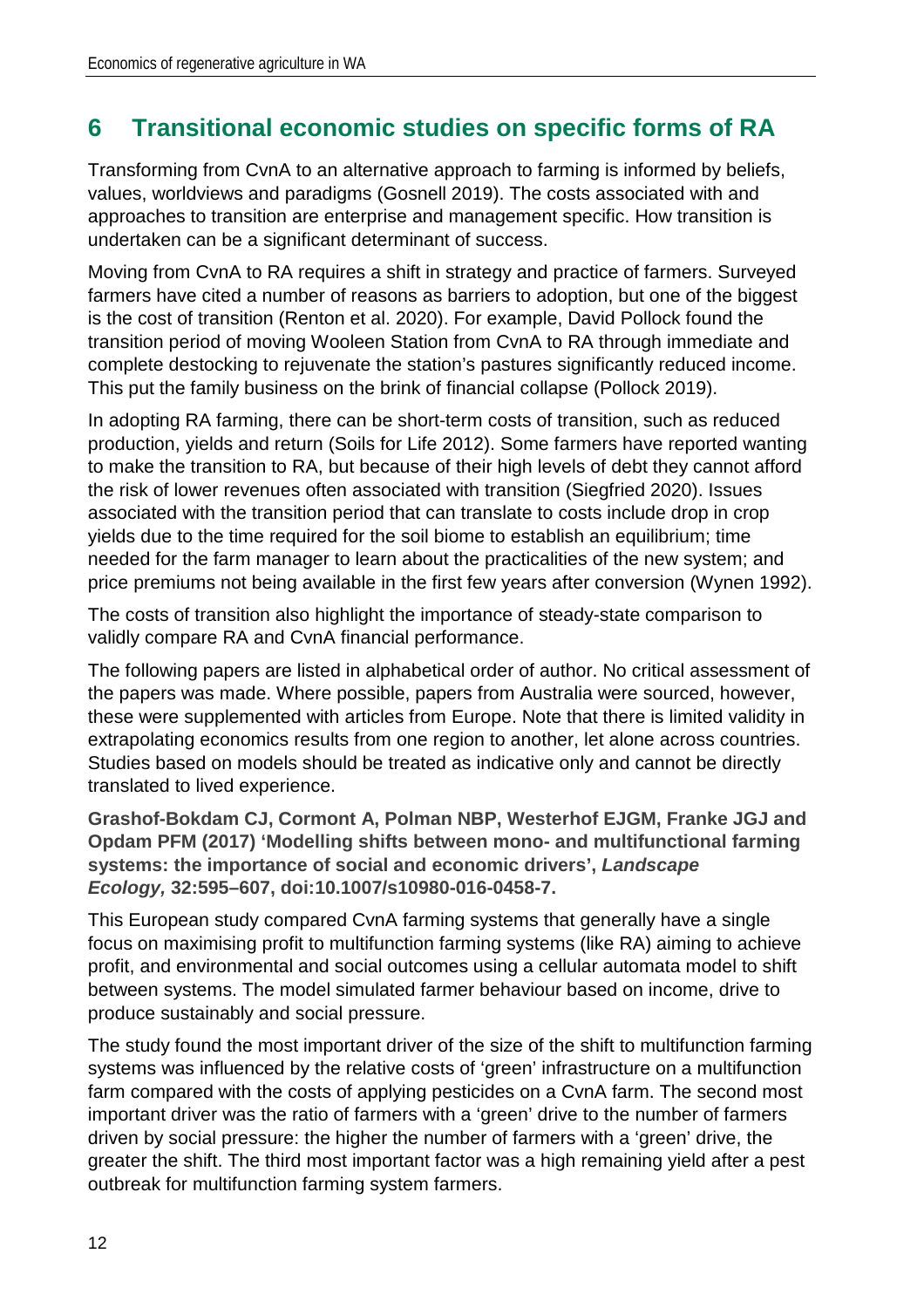### **6 Transitional economic studies on specific forms of RA**

Transforming from CvnA to an alternative approach to farming is informed by beliefs, values, worldviews and paradigms (Gosnell 2019). The costs associated with and approaches to transition are enterprise and management specific. How transition is undertaken can be a significant determinant of success.

Moving from CvnA to RA requires a shift in strategy and practice of farmers. Surveyed farmers have cited a number of reasons as barriers to adoption, but one of the biggest is the cost of transition (Renton et al. 2020). For example, David Pollock found the transition period of moving Wooleen Station from CvnA to RA through immediate and complete destocking to rejuvenate the station's pastures significantly reduced income. This put the family business on the brink of financial collapse (Pollock 2019).

In adopting RA farming, there can be short-term costs of transition, such as reduced production, yields and return (Soils for Life 2012). Some farmers have reported wanting to make the transition to RA, but because of their high levels of debt they cannot afford the risk of lower revenues often associated with transition (Siegfried 2020). Issues associated with the transition period that can translate to costs include drop in crop yields due to the time required for the soil biome to establish an equilibrium; time needed for the farm manager to learn about the practicalities of the new system; and price premiums not being available in the first few years after conversion (Wynen 1992).

The costs of transition also highlight the importance of steady-state comparison to validly compare RA and CvnA financial performance.

The following papers are listed in alphabetical order of author. No critical assessment of the papers was made. Where possible, papers from Australia were sourced, however, these were supplemented with articles from Europe. Note that there is limited validity in extrapolating economics results from one region to another, let alone across countries. Studies based on models should be treated as indicative only and cannot be directly translated to lived experience.

**Grashof-Bokdam CJ, Cormont A, Polman NBP, Westerhof EJGM, Franke JGJ and Opdam PFM (2017) 'Modelling shifts between mono- and multifunctional farming systems: the importance of social and economic drivers',** *Landscape Ecology,* **32:595–607, doi:10.1007/s10980-016-0458-7.**

This European study compared CvnA farming systems that generally have a single focus on maximising profit to multifunction farming systems (like RA) aiming to achieve profit, and environmental and social outcomes using a cellular automata model to shift between systems. The model simulated farmer behaviour based on income, drive to produce sustainably and social pressure.

The study found the most important driver of the size of the shift to multifunction farming systems was influenced by the relative costs of 'green' infrastructure on a multifunction farm compared with the costs of applying pesticides on a CvnA farm. The second most important driver was the ratio of farmers with a 'green' drive to the number of farmers driven by social pressure: the higher the number of farmers with a 'green' drive, the greater the shift. The third most important factor was a high remaining yield after a pest outbreak for multifunction farming system farmers.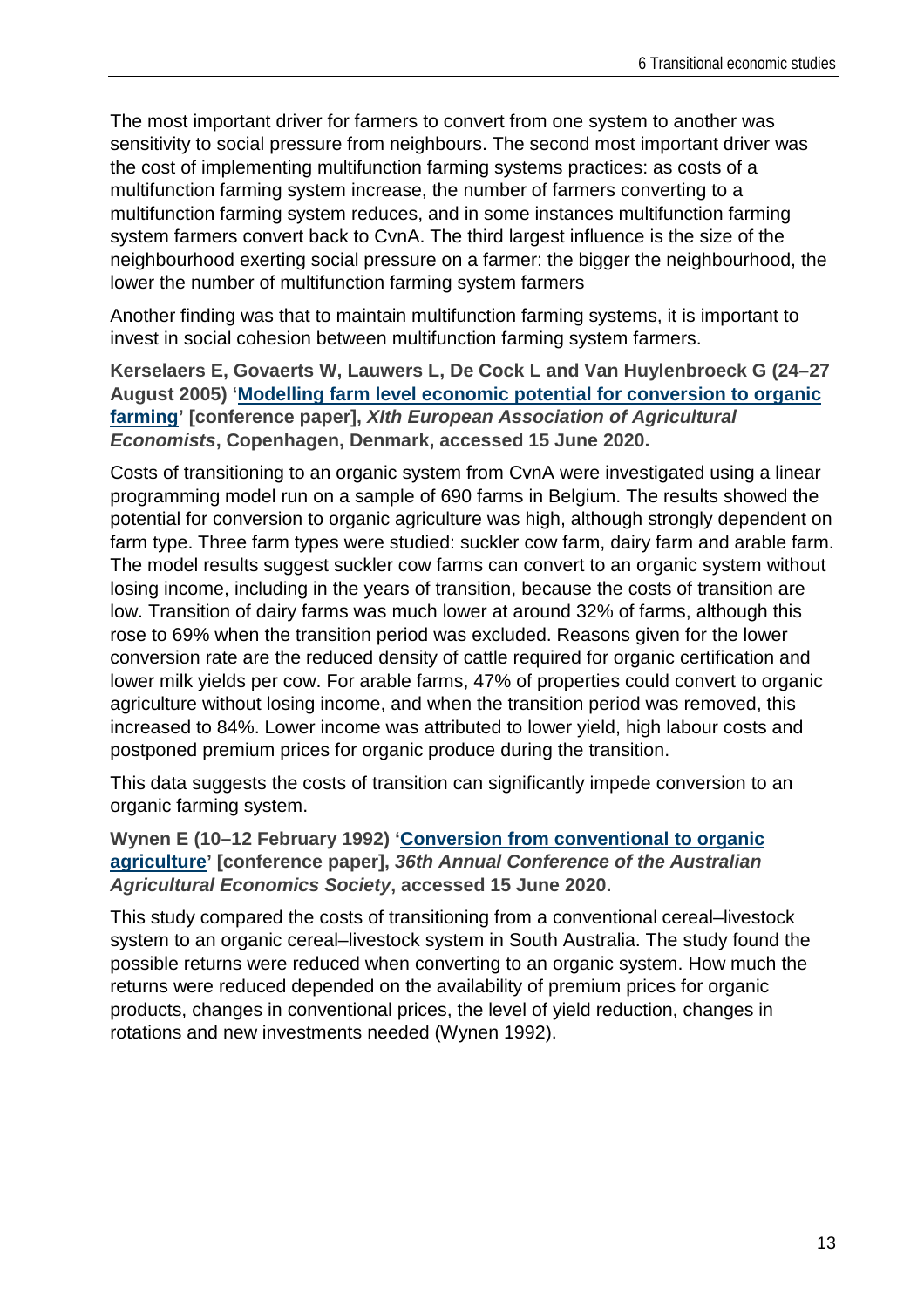The most important driver for farmers to convert from one system to another was sensitivity to social pressure from neighbours. The second most important driver was the cost of implementing multifunction farming systems practices: as costs of a multifunction farming system increase, the number of farmers converting to a multifunction farming system reduces, and in some instances multifunction farming system farmers convert back to CvnA. The third largest influence is the size of the neighbourhood exerting social pressure on a farmer: the bigger the neighbourhood, the lower the number of multifunction farming system farmers

Another finding was that to maintain multifunction farming systems, it is important to invest in social cohesion between multifunction farming system farmers.

**Kerselaers E, Govaerts W, Lauwers L, De Cock L and Van Huylenbroeck G (24–27 August 2005) ['Modelling farm level economic potential for conversion to organic](https://ageconsearch.umn.edu/record/24732/)  [farming'](https://ageconsearch.umn.edu/record/24732/) [conference paper],** *XIth European Association of Agricultural Economists***, Copenhagen, Denmark, accessed 15 June 2020.**

Costs of transitioning to an organic system from CvnA were investigated using a linear programming model run on a sample of 690 farms in Belgium. The results showed the potential for conversion to organic agriculture was high, although strongly dependent on farm type. Three farm types were studied: suckler cow farm, dairy farm and arable farm. The model results suggest suckler cow farms can convert to an organic system without losing income, including in the years of transition, because the costs of transition are low. Transition of dairy farms was much lower at around 32% of farms, although this rose to 69% when the transition period was excluded. Reasons given for the lower conversion rate are the reduced density of cattle required for organic certification and lower milk yields per cow. For arable farms, 47% of properties could convert to organic agriculture without losing income, and when the transition period was removed, this increased to 84%. Lower income was attributed to lower yield, high labour costs and postponed premium prices for organic produce during the transition.

This data suggests the costs of transition can significantly impede conversion to an organic farming system.

**Wynen E (10–12 February 1992) ['Conversion from conventional to organic](https://ageconsearch.umn.edu/record/147353/)  [agriculture'](https://ageconsearch.umn.edu/record/147353/) [conference paper],** *36th Annual Conference of the Australian Agricultural Economics Society***, accessed 15 June 2020.**

This study compared the costs of transitioning from a conventional cereal–livestock system to an organic cereal–livestock system in South Australia. The study found the possible returns were reduced when converting to an organic system. How much the returns were reduced depended on the availability of premium prices for organic products, changes in conventional prices, the level of yield reduction, changes in rotations and new investments needed (Wynen 1992).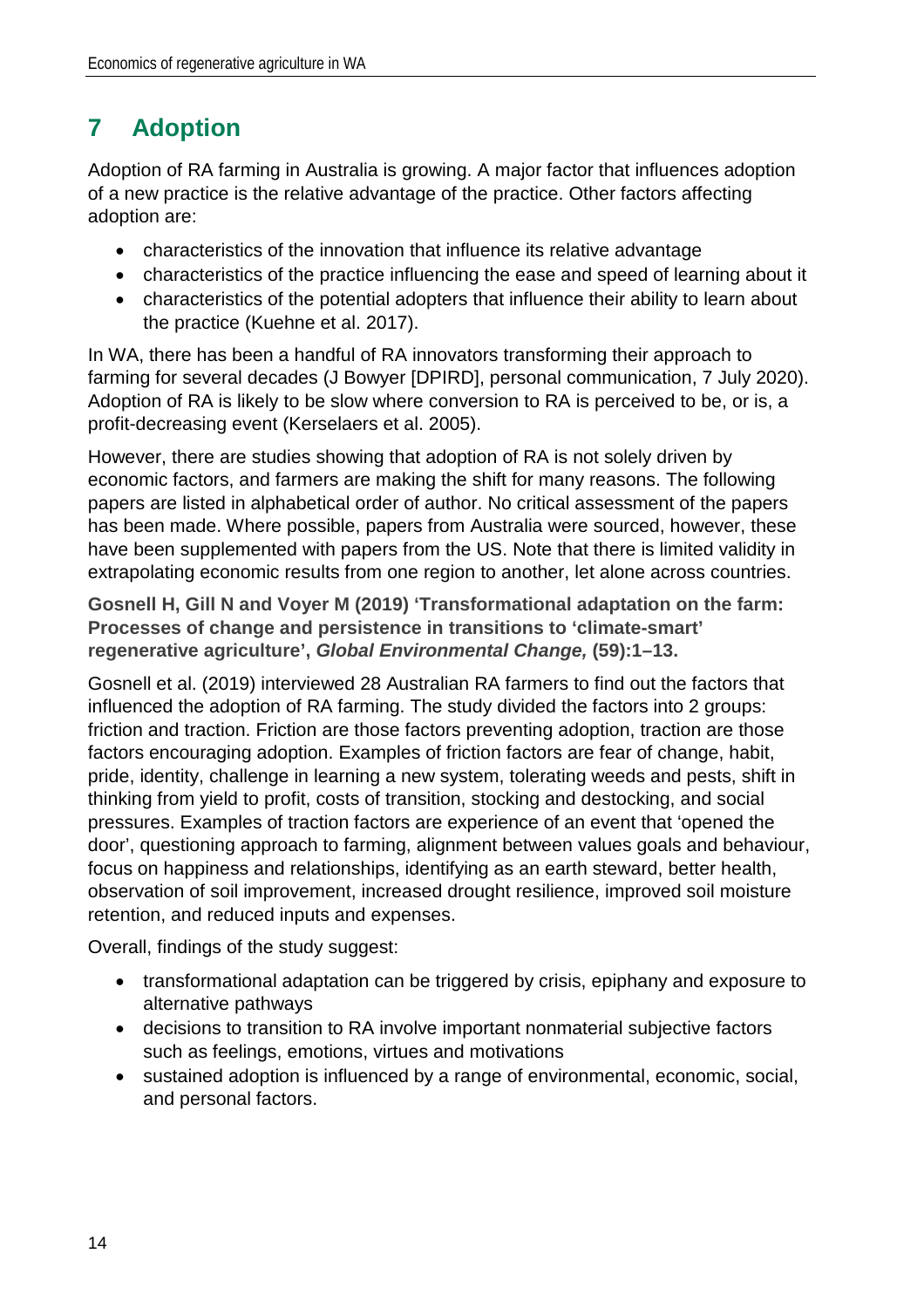# **7 Adoption**

Adoption of RA farming in Australia is growing. A major factor that influences adoption of a new practice is the relative advantage of the practice. Other factors affecting adoption are:

- characteristics of the innovation that influence its relative advantage
- characteristics of the practice influencing the ease and speed of learning about it
- characteristics of the potential adopters that influence their ability to learn about the practice (Kuehne et al. 2017).

In WA, there has been a handful of RA innovators transforming their approach to farming for several decades (J Bowyer [DPIRD], personal communication, 7 July 2020). Adoption of RA is likely to be slow where conversion to RA is perceived to be, or is, a profit-decreasing event (Kerselaers et al. 2005).

However, there are studies showing that adoption of RA is not solely driven by economic factors, and farmers are making the shift for many reasons. The following papers are listed in alphabetical order of author. No critical assessment of the papers has been made. Where possible, papers from Australia were sourced, however, these have been supplemented with papers from the US. Note that there is limited validity in extrapolating economic results from one region to another, let alone across countries.

**Gosnell H, Gill N and Voyer M (2019) 'Transformational adaptation on the farm: Processes of change and persistence in transitions to 'climate-smart' regenerative agriculture',** *Global Environmental Change,* **(59):1–13.**

Gosnell et al. (2019) interviewed 28 Australian RA farmers to find out the factors that influenced the adoption of RA farming. The study divided the factors into 2 groups: friction and traction. Friction are those factors preventing adoption, traction are those factors encouraging adoption. Examples of friction factors are fear of change, habit, pride, identity, challenge in learning a new system, tolerating weeds and pests, shift in thinking from yield to profit, costs of transition, stocking and destocking, and social pressures. Examples of traction factors are experience of an event that 'opened the door', questioning approach to farming, alignment between values goals and behaviour, focus on happiness and relationships, identifying as an earth steward, better health, observation of soil improvement, increased drought resilience, improved soil moisture retention, and reduced inputs and expenses.

Overall, findings of the study suggest:

- transformational adaptation can be triggered by crisis, epiphany and exposure to alternative pathways
- decisions to transition to RA involve important nonmaterial subjective factors such as feelings, emotions, virtues and motivations
- sustained adoption is influenced by a range of environmental, economic, social, and personal factors.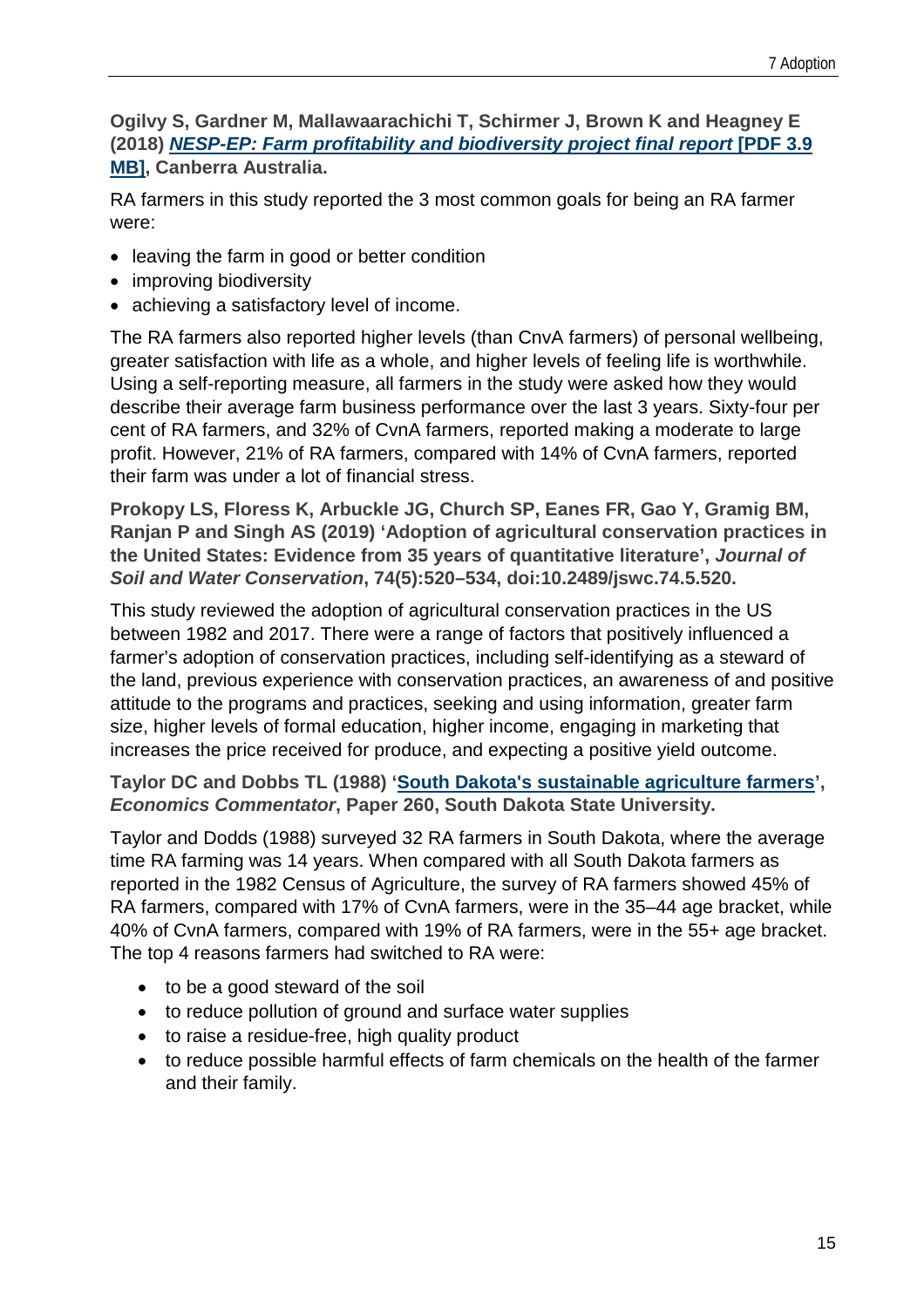#### **Ogilvy S, Gardner M, Mallawaarachichi T, Schirmer J, Brown K and Heagney E (2018)** *[NESP-EP: Farm profitability and biodiversity project final report](https://pureadvantage.org/wp-content/uploads/2018/11/NESP-EP-Farm-profitability-and-biodiversity-final-report.pdf)* **[PDF 3.9 [MB\],](https://pureadvantage.org/wp-content/uploads/2018/11/NESP-EP-Farm-profitability-and-biodiversity-final-report.pdf) Canberra Australia.**

RA farmers in this study reported the 3 most common goals for being an RA farmer were:

- leaving the farm in good or better condition
- improving biodiversity
- achieving a satisfactory level of income.

The RA farmers also reported higher levels (than CnvA farmers) of personal wellbeing, greater satisfaction with life as a whole, and higher levels of feeling life is worthwhile. Using a self-reporting measure, all farmers in the study were asked how they would describe their average farm business performance over the last 3 years. Sixty-four per cent of RA farmers, and 32% of CvnA farmers, reported making a moderate to large profit. However, 21% of RA farmers, compared with 14% of CvnA farmers, reported their farm was under a lot of financial stress.

**Prokopy LS, Floress K, Arbuckle JG, Church SP, Eanes FR, Gao Y, Gramig BM, Ranjan P and Singh AS (2019) 'Adoption of agricultural conservation practices in the United States: Evidence from 35 years of quantitative literature',** *Journal of Soil and Water Conservation***, 74(5):520–534, doi:10.2489/jswc.74.5.520.** 

This study reviewed the adoption of agricultural conservation practices in the US between 1982 and 2017. There were a range of factors that positively influenced a farmer's adoption of conservation practices, including self-identifying as a steward of the land, previous experience with conservation practices, an awareness of and positive attitude to the programs and practices, seeking and using information, greater farm size, higher levels of formal education, higher income, engaging in marketing that increases the price received for produce, and expecting a positive yield outcome.

#### **Taylor DC and Dobbs TL (1988) ['South Dakota's sustainable agriculture farmers'](http://openprairie.sdstate.edu/econ_comm/260),**  *Economics Commentator***, Paper 260, South Dakota State University.**

Taylor and Dodds (1988) surveyed 32 RA farmers in South Dakota, where the average time RA farming was 14 years. When compared with all South Dakota farmers as reported in the 1982 Census of Agriculture, the survey of RA farmers showed 45% of RA farmers, compared with 17% of CvnA farmers, were in the 35–44 age bracket, while 40% of CvnA farmers, compared with 19% of RA farmers, were in the 55+ age bracket. The top 4 reasons farmers had switched to RA were:

- to be a good steward of the soil
- to reduce pollution of ground and surface water supplies
- to raise a residue-free, high quality product
- to reduce possible harmful effects of farm chemicals on the health of the farmer and their family.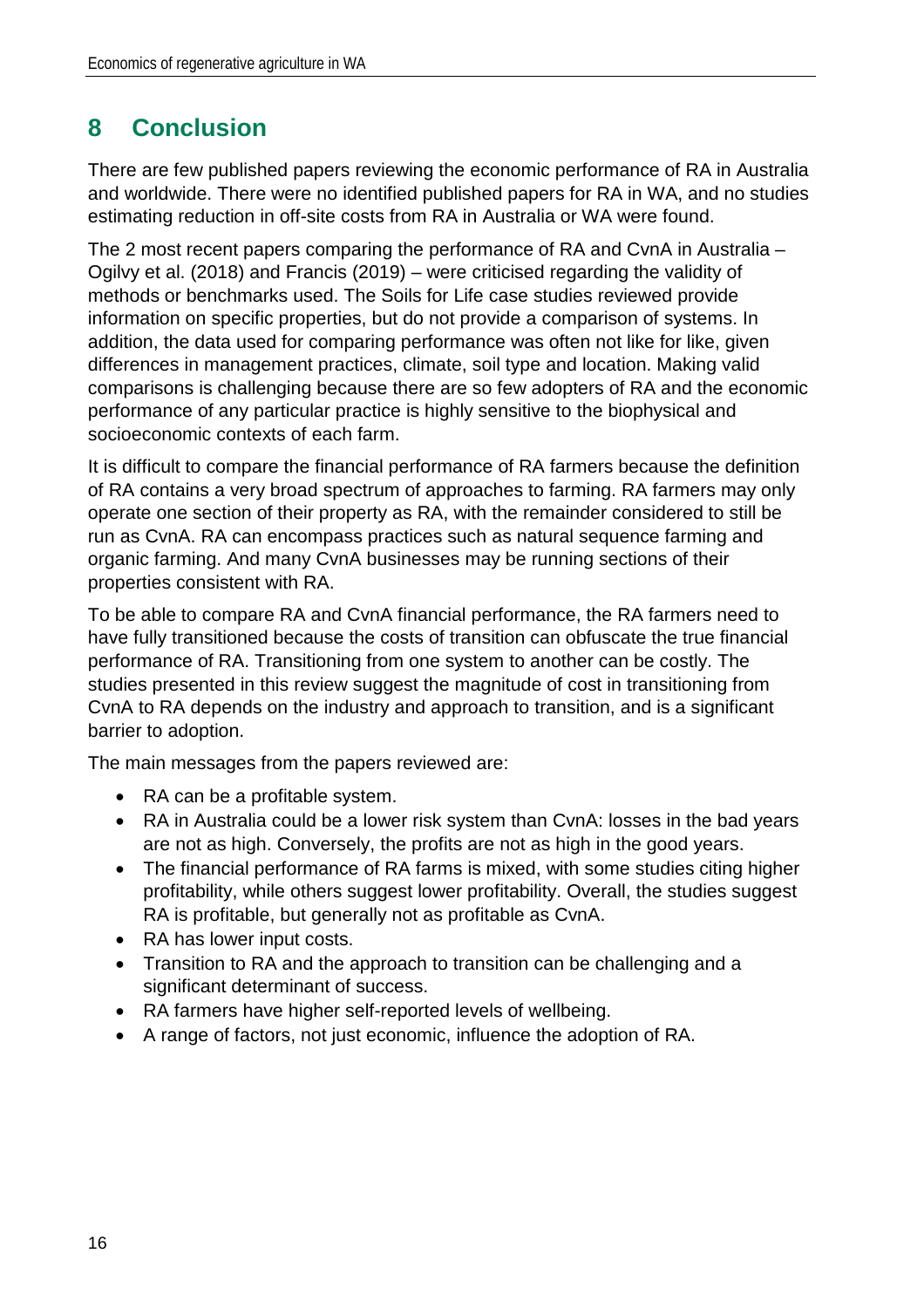## **8 Conclusion**

There are few published papers reviewing the economic performance of RA in Australia and worldwide. There were no identified published papers for RA in WA, and no studies estimating reduction in off-site costs from RA in Australia or WA were found.

The 2 most recent papers comparing the performance of RA and CvnA in Australia – Ogilvy et al. (2018) and Francis (2019) – were criticised regarding the validity of methods or benchmarks used. The Soils for Life case studies reviewed provide information on specific properties, but do not provide a comparison of systems. In addition, the data used for comparing performance was often not like for like, given differences in management practices, climate, soil type and location. Making valid comparisons is challenging because there are so few adopters of RA and the economic performance of any particular practice is highly sensitive to the biophysical and socioeconomic contexts of each farm.

It is difficult to compare the financial performance of RA farmers because the definition of RA contains a very broad spectrum of approaches to farming. RA farmers may only operate one section of their property as RA, with the remainder considered to still be run as CvnA. RA can encompass practices such as natural sequence farming and organic farming. And many CvnA businesses may be running sections of their properties consistent with RA.

To be able to compare RA and CvnA financial performance, the RA farmers need to have fully transitioned because the costs of transition can obfuscate the true financial performance of RA. Transitioning from one system to another can be costly. The studies presented in this review suggest the magnitude of cost in transitioning from CvnA to RA depends on the industry and approach to transition, and is a significant barrier to adoption.

The main messages from the papers reviewed are:

- RA can be a profitable system.
- RA in Australia could be a lower risk system than CvnA: losses in the bad years are not as high. Conversely, the profits are not as high in the good years.
- The financial performance of RA farms is mixed, with some studies citing higher profitability, while others suggest lower profitability. Overall, the studies suggest RA is profitable, but generally not as profitable as CvnA.
- RA has lower input costs.
- Transition to RA and the approach to transition can be challenging and a significant determinant of success.
- RA farmers have higher self-reported levels of wellbeing.
- A range of factors, not just economic, influence the adoption of RA.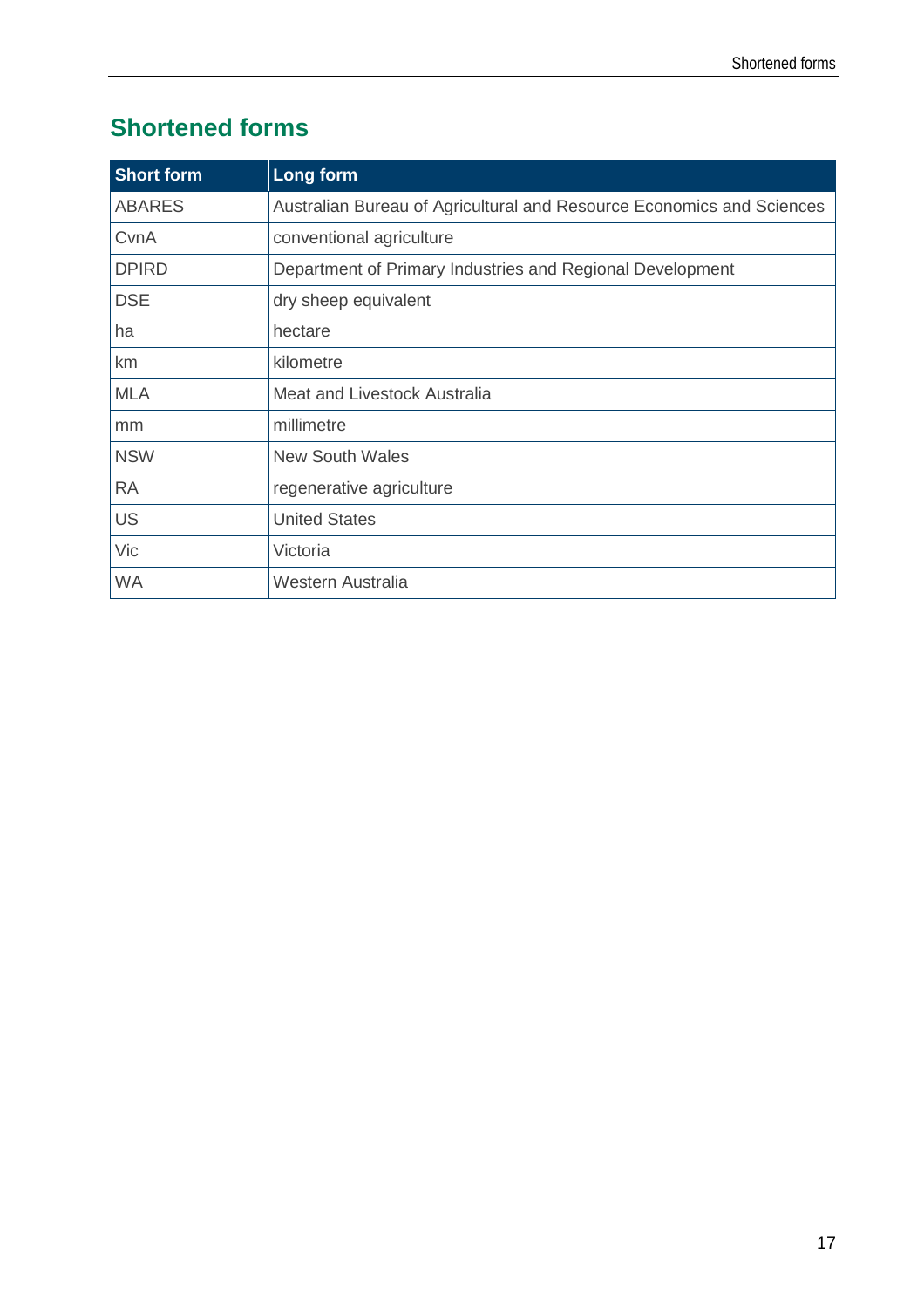# **Shortened forms**

| <b>Short form</b> | Long form                                                             |
|-------------------|-----------------------------------------------------------------------|
| <b>ABARES</b>     | Australian Bureau of Agricultural and Resource Economics and Sciences |
| CvnA              | conventional agriculture                                              |
| <b>DPIRD</b>      | Department of Primary Industries and Regional Development             |
| <b>DSE</b>        | dry sheep equivalent                                                  |
| ha                | hectare                                                               |
| km                | kilometre                                                             |
| <b>MLA</b>        | Meat and Livestock Australia                                          |
| mm                | millimetre                                                            |
| <b>NSW</b>        | <b>New South Wales</b>                                                |
| <b>RA</b>         | regenerative agriculture                                              |
| <b>US</b>         | <b>United States</b>                                                  |
| Vic               | Victoria                                                              |
| <b>WA</b>         | Western Australia                                                     |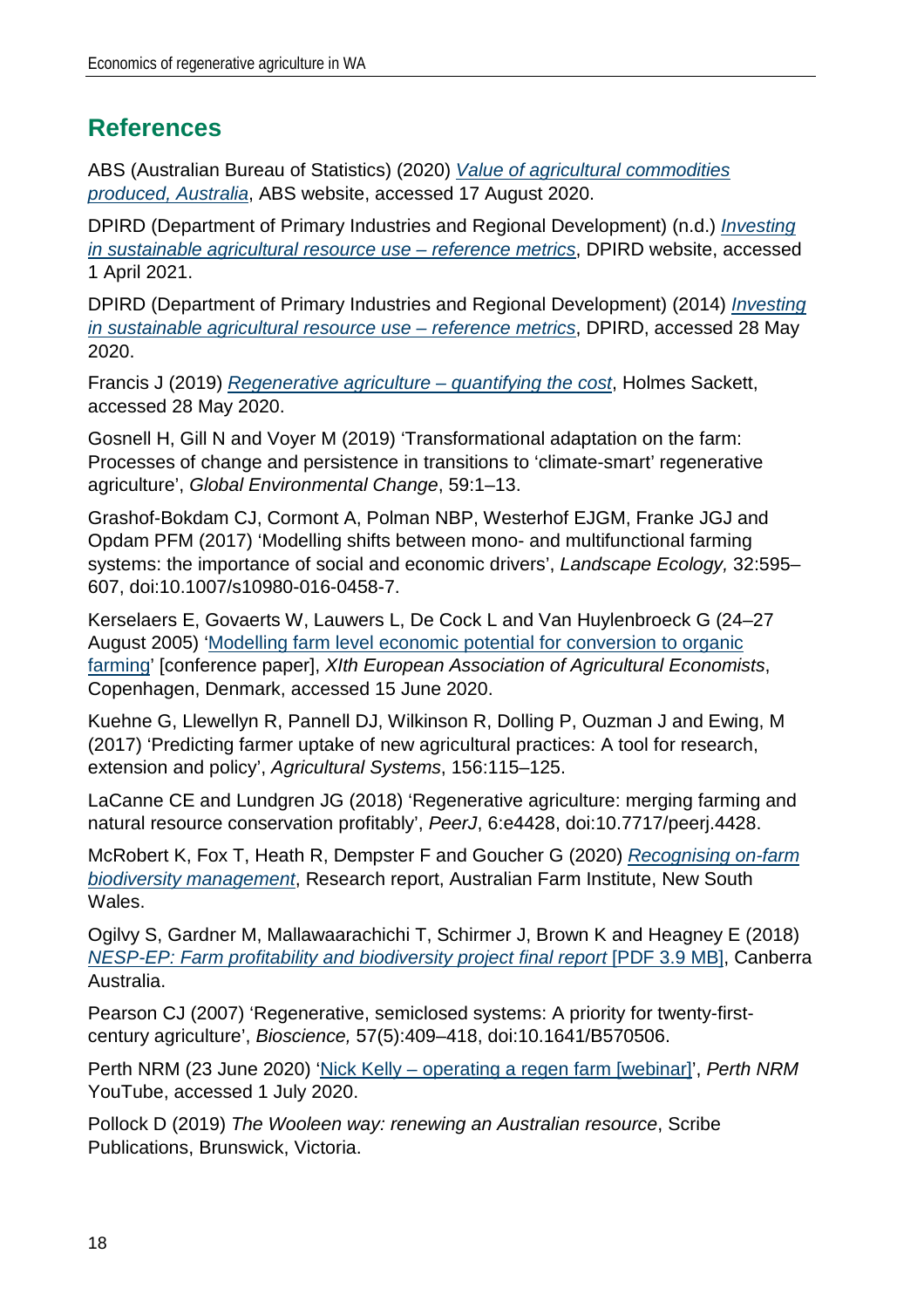### **References**

ABS (Australian Bureau of Statistics) (2020) *[Value of agricultural commodities](https://www.abs.gov.au/statistics/industry/agriculture/value-agricultural-commodities-produced-australia/2018-19)  [produced, Australia](https://www.abs.gov.au/statistics/industry/agriculture/value-agricultural-commodities-produced-australia/2018-19)*, ABS website, accessed 17 August 2020.

DPIRD (Department of Primary Industries and Regional Development) (n.d.) *[Investing](https://www.agric.wa.gov.au/report-card-conditions-and-trends/investing-sustainable-agricultural-resource-use-reference-metrics)  [in sustainable agricultural resource use](https://www.agric.wa.gov.au/report-card-conditions-and-trends/investing-sustainable-agricultural-resource-use-reference-metrics) – reference metrics*, DPIRD website, accessed 1 April 2021.

DPIRD (Department of Primary Industries and Regional Development) (2014) *[Investing](https://researchlibrary.agric.wa.gov.au/pubns/46/)  [in sustainable agricultural](https://researchlibrary.agric.wa.gov.au/pubns/46/) resource use – reference metrics*, DPIRD, accessed 28 May 2020.

Francis J (2019) *[Regenerative agriculture –](https://www.agrista.com.au/publications-and-tools) quantifying the cost*, Holmes Sackett, accessed 28 May 2020.

Gosnell H, Gill N and Voyer M (2019) 'Transformational adaptation on the farm: Processes of change and persistence in transitions to 'climate-smart' regenerative agriculture', *Global Environmental Change*, 59:1–13.

Grashof-Bokdam CJ, Cormont A, Polman NBP, Westerhof EJGM, Franke JGJ and Opdam PFM (2017) 'Modelling shifts between mono- and multifunctional farming systems: the importance of social and economic drivers', *Landscape Ecology,* 32:595– 607, doi:10.1007/s10980-016-0458-7.

Kerselaers E, Govaerts W, Lauwers L, De Cock L and Van Huylenbroeck G (24–27 August 2005) ['Modelling farm level economic potential for conversion to organic](https://ageconsearch.umn.edu/record/24732/)  [farming'](https://ageconsearch.umn.edu/record/24732/) [conference paper], *XIth European Association of Agricultural Economists*, Copenhagen, Denmark, accessed 15 June 2020.

Kuehne G, Llewellyn R, Pannell DJ, Wilkinson R, Dolling P, Ouzman J and Ewing, M (2017) 'Predicting farmer uptake of new agricultural practices: A tool for research, extension and policy', *Agricultural Systems*, 156:115–125.

LaCanne CE and Lundgren JG (2018) 'Regenerative agriculture: merging farming and natural resource conservation profitably', *PeerJ*, 6:e4428, doi:10.7717/peerj.4428.

McRobert K, Fox T, Heath R, Dempster F and Goucher G (2020) *[Recognising on-farm](https://www.farminstitute.org.au/report-recognising-on-farm-biodiversity-management/)  [biodiversity management](https://www.farminstitute.org.au/report-recognising-on-farm-biodiversity-management/)*, Research report, Australian Farm Institute, New South Wales.

Ogilvy S, Gardner M, Mallawaarachichi T, Schirmer J, Brown K and Heagney E (2018) *NESP-EP: Farm profitability and biodiversity project final report* [PDF 3.9 MB], Canberra Australia.

Pearson CJ (2007) 'Regenerative, semiclosed systems: A priority for twenty-firstcentury agriculture', *Bioscience,* 57(5):409–418, doi:10.1641/B570506.

Perth NRM (23 June 2020) 'Nick Kelly – [operating a regen farm \[webinar\]'](https://www.youtube.com/watch?v=lWgofG9SZVI&feature=youtu.be), *Perth NRM* YouTube, accessed 1 July 2020.

Pollock D (2019) *The Wooleen way: renewing an Australian resource*, Scribe Publications, Brunswick, Victoria.